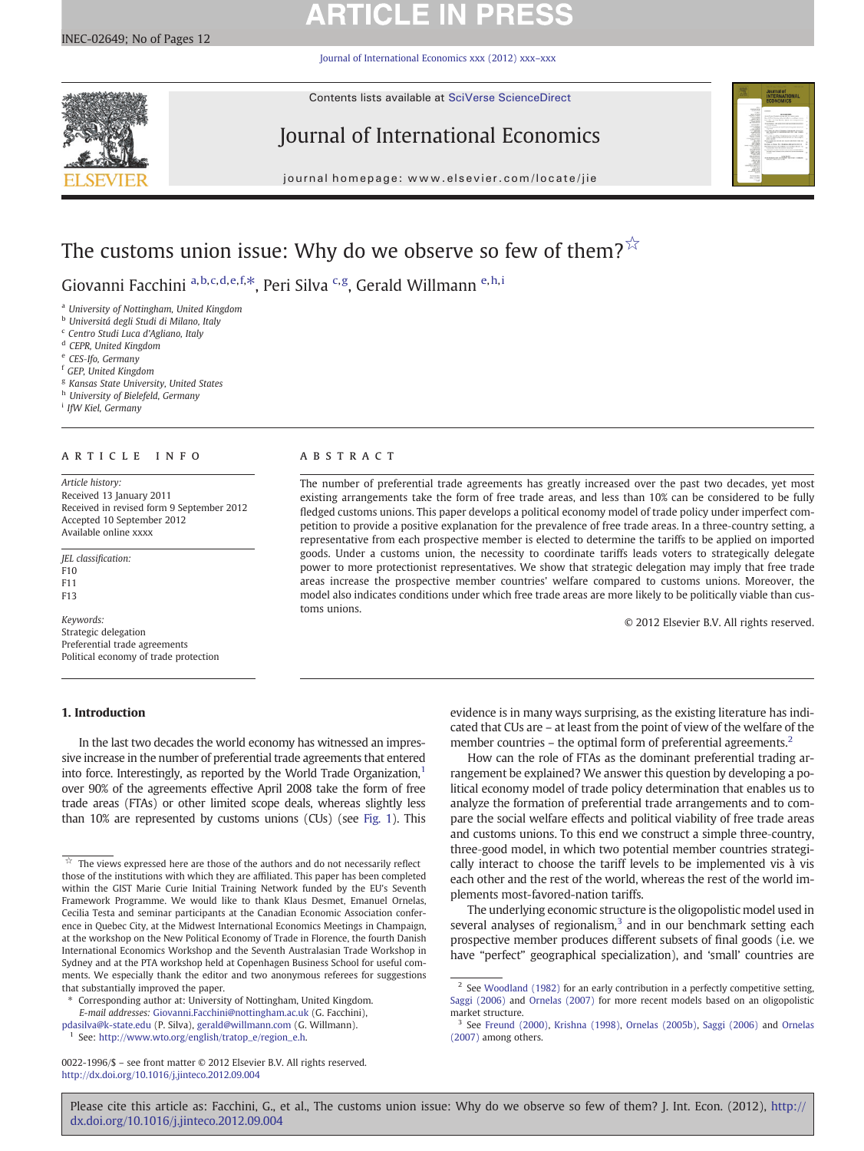# **ARTICLE IN PRES**

[Journal of International Economics xxx \(2012\) xxx](http://dx.doi.org/10.1016/j.jinteco.2012.09.004)–xxx



Contents lists available at SciVerse ScienceDirect

## Journal of International Economics



journal homepage: www.elsevier.com/locate/jie

## The customs union issue: Why do we observe so few of them? $\overrightarrow{x}$

Giovanni Facchini <sup>a,b,c,d,e,f,\*</sup>, Peri Silva <sup>c,g</sup>, Gerald Willmann <sup>e,h,i</sup>

<sup>a</sup> University of Nottingham, United Kingdom

<sup>b</sup> Universitá degli Studi di Milano, Italy

<sup>c</sup> Centro Studi Luca d'Agliano, Italy

<sup>d</sup> CEPR, United Kingdom

<sup>e</sup> CES‐Ifo, Germany

<sup>f</sup> GEP, United Kingdom

<sup>g</sup> Kansas State University, United States

h University of Bielefeld, Germany

<sup>i</sup> IfW Kiel, Germany

### article info abstract

Article history: Received 13 January 2011 Received in revised form 9 September 2012 Accepted 10 September 2012 Available online xxxx

JEL classification: F10 F11 F13

Keywords: Strategic delegation Preferential trade agreements Political economy of trade protection

### 1. Introduction

### In the last two decades the world economy has witnessed an impressive increase in the number of preferential trade agreements that entered into force. Interestingly, as reported by the World Trade Organization,<sup>1</sup> over 90% of the agreements effective April 2008 take the form of free trade areas (FTAs) or other limited scope deals, whereas slightly less than 10% are represented by customs unions (CUs) (see [Fig. 1](#page-1-0)). This

See: [http://www.wto.org/english/tratop\\_e/region\\_e.h.](http://www.wto.org/english/tratop_e/region_e.h)

The number of preferential trade agreements has greatly increased over the past two decades, yet most existing arrangements take the form of free trade areas, and less than 10% can be considered to be fully fledged customs unions. This paper develops a political economy model of trade policy under imperfect competition to provide a positive explanation for the prevalence of free trade areas. In a three‐country setting, a representative from each prospective member is elected to determine the tariffs to be applied on imported goods. Under a customs union, the necessity to coordinate tariffs leads voters to strategically delegate power to more protectionist representatives. We show that strategic delegation may imply that free trade areas increase the prospective member countries' welfare compared to customs unions. Moreover, the model also indicates conditions under which free trade areas are more likely to be politically viable than customs unions.

© 2012 Elsevier B.V. All rights reserved.

evidence is in many ways surprising, as the existing literature has indicated that CUs are – at least from the point of view of the welfare of the member countries – the optimal form of preferential agreements.<sup>2</sup>

How can the role of FTAs as the dominant preferential trading arrangement be explained? We answer this question by developing a political economy model of trade policy determination that enables us to analyze the formation of preferential trade arrangements and to compare the social welfare effects and political viability of free trade areas and customs unions. To this end we construct a simple three‐country, three‐good model, in which two potential member countries strategically interact to choose the tariff levels to be implemented vis à vis each other and the rest of the world, whereas the rest of the world implements most-favored-nation tariffs.

The underlying economic structure is the oligopolistic model used in several analyses of regionalism, $3$  and in our benchmark setting each prospective member produces different subsets of final goods (i.e. we have "perfect" geographical specialization), and 'small' countries are

 $\overrightarrow{A}$  The views expressed here are those of the authors and do not necessarily reflect those of the institutions with which they are affiliated. This paper has been completed within the GIST Marie Curie Initial Training Network funded by the EU's Seventh Framework Programme. We would like to thank Klaus Desmet, Emanuel Ornelas, Cecilia Testa and seminar participants at the Canadian Economic Association conference in Quebec City, at the Midwest International Economics Meetings in Champaign, at the workshop on the New Political Economy of Trade in Florence, the fourth Danish International Economics Workshop and the Seventh Australasian Trade Workshop in Sydney and at the PTA workshop held at Copenhagen Business School for useful comments. We especially thank the editor and two anonymous referees for suggestions that substantially improved the paper.

<sup>⁎</sup> Corresponding author at: University of Nottingham, United Kingdom. E-mail addresses: [Giovanni.Facchini@nottingham.ac.uk](mailto:Giovanni.Facchini@nottingham.ac.uk) (G. Facchini),

[pdasilva@k-state.edu](mailto:pdasilva@k-state.edu) (P. Silva), [gerald@willmann.com](mailto:gerald@willmann.com) (G. Willmann).

<sup>0022-1996/\$</sup> – see front matter © 2012 Elsevier B.V. All rights reserved. <http://dx.doi.org/10.1016/j.jinteco.2012.09.004>

 $2$  See [Woodland \(1982\)](#page-11-0) for an early contribution in a perfectly competitive setting, [Saggi \(2006\)](#page-11-0) and [Ornelas \(2007\)](#page-11-0) for more recent models based on an oligopolistic market structure.

<sup>3</sup> See [Freund \(2000\)](#page-11-0), [Krishna \(1998\),](#page-11-0) [Ornelas \(2005b\),](#page-11-0) [Saggi \(2006\)](#page-11-0) and [Ornelas](#page-11-0) [\(2007\)](#page-11-0) among others.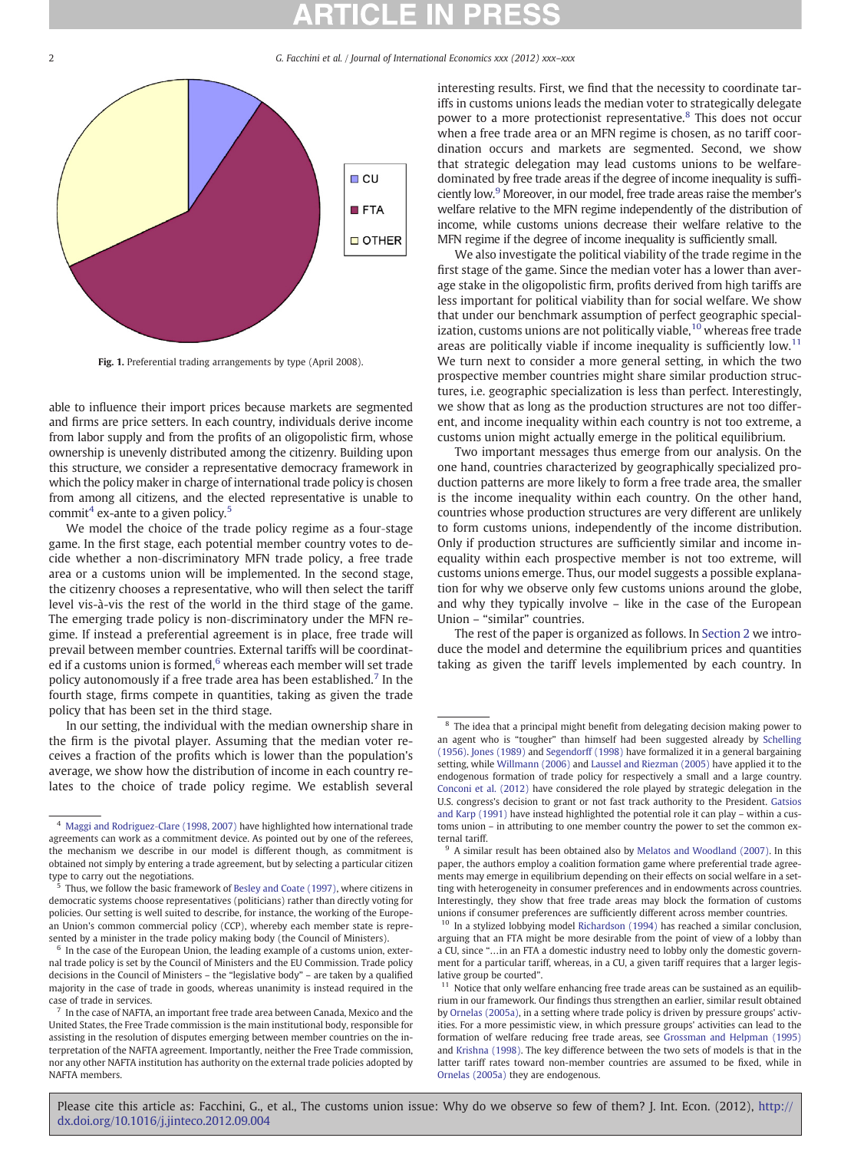<span id="page-1-0"></span>

Fig. 1. Preferential trading arrangements by type (April 2008).

able to influence their import prices because markets are segmented and firms are price setters. In each country, individuals derive income from labor supply and from the profits of an oligopolistic firm, whose ownership is unevenly distributed among the citizenry. Building upon this structure, we consider a representative democracy framework in which the policy maker in charge of international trade policy is chosen from among all citizens, and the elected representative is unable to commit<sup>4</sup> ex-ante to a given policy.<sup>5</sup>

We model the choice of the trade policy regime as a four-stage game. In the first stage, each potential member country votes to decide whether a non‐discriminatory MFN trade policy, a free trade area or a customs union will be implemented. In the second stage, the citizenry chooses a representative, who will then select the tariff level vis-à-vis the rest of the world in the third stage of the game. The emerging trade policy is non-discriminatory under the MFN regime. If instead a preferential agreement is in place, free trade will prevail between member countries. External tariffs will be coordinated if a customs union is formed, $6$  whereas each member will set trade policy autonomously if a free trade area has been established.<sup>7</sup> In the fourth stage, firms compete in quantities, taking as given the trade policy that has been set in the third stage.

In our setting, the individual with the median ownership share in the firm is the pivotal player. Assuming that the median voter receives a fraction of the profits which is lower than the population's average, we show how the distribution of income in each country relates to the choice of trade policy regime. We establish several

interesting results. First, we find that the necessity to coordinate tariffs in customs unions leads the median voter to strategically delegate power to a more protectionist representative.<sup>8</sup> This does not occur when a free trade area or an MFN regime is chosen, as no tariff coordination occurs and markets are segmented. Second, we show that strategic delegation may lead customs unions to be welfare‐ dominated by free trade areas if the degree of income inequality is sufficiently low.<sup>9</sup> Moreover, in our model, free trade areas raise the member's welfare relative to the MFN regime independently of the distribution of income, while customs unions decrease their welfare relative to the MFN regime if the degree of income inequality is sufficiently small.

We also investigate the political viability of the trade regime in the first stage of the game. Since the median voter has a lower than average stake in the oligopolistic firm, profits derived from high tariffs are less important for political viability than for social welfare. We show that under our benchmark assumption of perfect geographic specialization, customs unions are not politically viable,  $10$  whereas free trade areas are politically viable if income inequality is sufficiently low.<sup>11</sup> We turn next to consider a more general setting, in which the two prospective member countries might share similar production structures, i.e. geographic specialization is less than perfect. Interestingly, we show that as long as the production structures are not too different, and income inequality within each country is not too extreme, a customs union might actually emerge in the political equilibrium.

Two important messages thus emerge from our analysis. On the one hand, countries characterized by geographically specialized production patterns are more likely to form a free trade area, the smaller is the income inequality within each country. On the other hand, countries whose production structures are very different are unlikely to form customs unions, independently of the income distribution. Only if production structures are sufficiently similar and income inequality within each prospective member is not too extreme, will customs unions emerge. Thus, our model suggests a possible explanation for why we observe only few customs unions around the globe, and why they typically involve – like in the case of the European Union – "similar" countries.

The rest of the paper is organized as follows. In [Section 2](#page-2-0) we introduce the model and determine the equilibrium prices and quantities taking as given the tariff levels implemented by each country. In

 $^{\,4}$  [Maggi and Rodriguez](#page-11-0)-Clare (1998, 2007) have highlighted how international trade agreements can work as a commitment device. As pointed out by one of the referees, the mechanism we describe in our model is different though, as commitment is obtained not simply by entering a trade agreement, but by selecting a particular citizen type to carry out the negotiations.

 $\frac{1}{5}$  Thus, we follow the basic framework of [Besley and Coate \(1997\)](#page-11-0), where citizens in democratic systems choose representatives (politicians) rather than directly voting for policies. Our setting is well suited to describe, for instance, the working of the European Union's common commercial policy (CCP), whereby each member state is represented by a minister in the trade policy making body (the Council of Ministers).

 $6$  In the case of the European Union, the leading example of a customs union, external trade policy is set by the Council of Ministers and the EU Commission. Trade policy decisions in the Council of Ministers – the "legislative body" – are taken by a qualified majority in the case of trade in goods, whereas unanimity is instead required in the case of trade in services.

In the case of NAFTA, an important free trade area between Canada, Mexico and the United States, the Free Trade commission is the main institutional body, responsible for assisting in the resolution of disputes emerging between member countries on the interpretation of the NAFTA agreement. Importantly, neither the Free Trade commission, nor any other NAFTA institution has authority on the external trade policies adopted by NAFTA members.

 $8$  The idea that a principal might benefit from delegating decision making power to an agent who is "tougher" than himself had been suggested already by [Schelling](#page-11-0) [\(1956\).](#page-11-0) [Jones \(1989\)](#page-11-0) and [Segendorff \(1998\)](#page-11-0) have formalized it in a general bargaining setting, while [Willmann \(2006\)](#page-11-0) and [Laussel and Riezman \(2005\)](#page-11-0) have applied it to the endogenous formation of trade policy for respectively a small and a large country. [Conconi et al. \(2012\)](#page-11-0) have considered the role played by strategic delegation in the U.S. congress's decision to grant or not fast track authority to the President. [Gatsios](#page-11-0) [and Karp \(1991\)](#page-11-0) have instead highlighted the potential role it can play – within a customs union – in attributing to one member country the power to set the common external tariff.

<sup>&</sup>lt;sup>9</sup> A similar result has been obtained also by [Melatos and Woodland \(2007\)](#page-11-0). In this paper, the authors employ a coalition formation game where preferential trade agreements may emerge in equilibrium depending on their effects on social welfare in a setting with heterogeneity in consumer preferences and in endowments across countries. Interestingly, they show that free trade areas may block the formation of customs unions if consumer preferences are sufficiently different across member countries.

In a stylized lobbying model [Richardson \(1994\)](#page-11-0) has reached a similar conclusion, arguing that an FTA might be more desirable from the point of view of a lobby than a CU, since "…in an FTA a domestic industry need to lobby only the domestic government for a particular tariff, whereas, in a CU, a given tariff requires that a larger legislative group be courted".

 $11$  Notice that only welfare enhancing free trade areas can be sustained as an equilibrium in our framework. Our findings thus strengthen an earlier, similar result obtained by [Ornelas \(2005a\),](#page-11-0) in a setting where trade policy is driven by pressure groups' activities. For a more pessimistic view, in which pressure groups' activities can lead to the formation of welfare reducing free trade areas, see [Grossman and Helpman \(1995\)](#page-11-0) and [Krishna \(1998\)](#page-11-0). The key difference between the two sets of models is that in the latter tariff rates toward non-member countries are assumed to be fixed, while in [Ornelas \(2005a\)](#page-11-0) they are endogenous.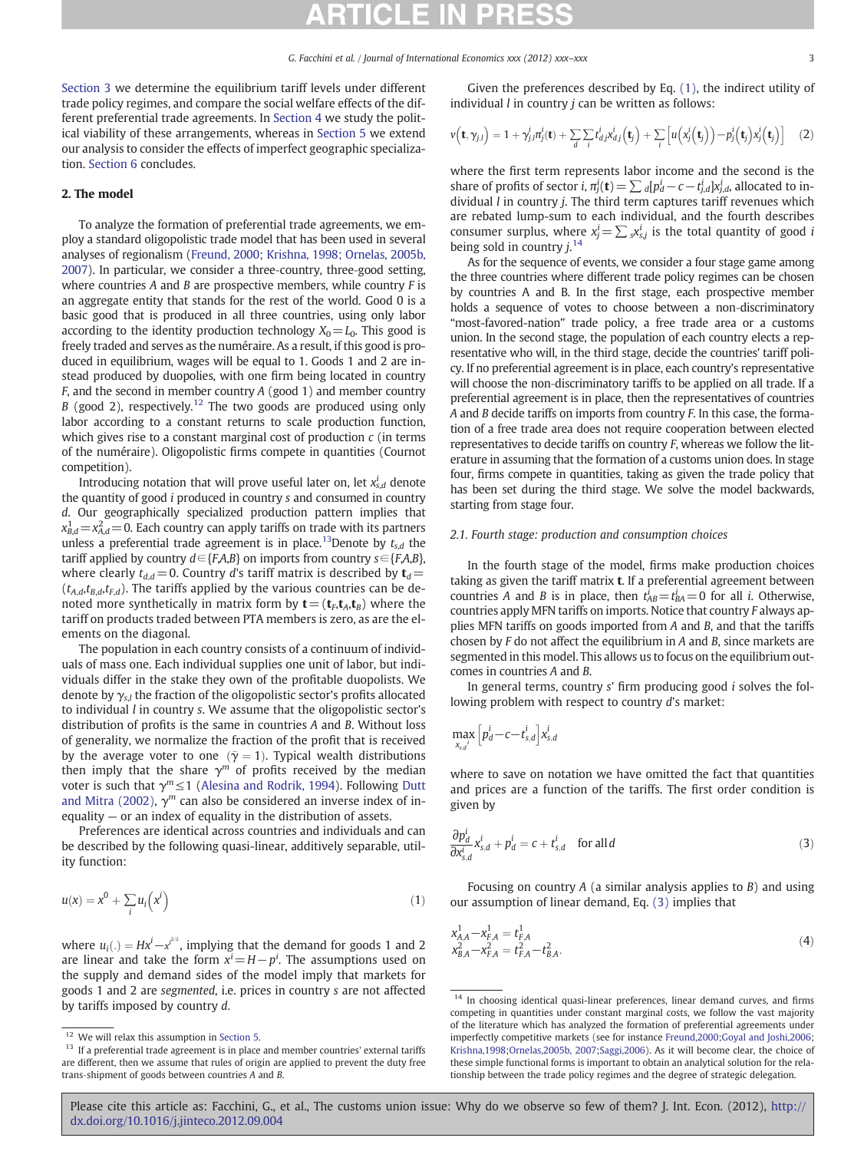<span id="page-2-0"></span>[Section 3](#page-3-0) we determine the equilibrium tariff levels under different trade policy regimes, and compare the social welfare effects of the different preferential trade agreements. In [Section 4](#page-6-0) we study the political viability of these arrangements, whereas in [Section 5](#page-7-0) we extend our analysis to consider the effects of imperfect geographic specialization. [Section 6](#page-9-0) concludes.

### 2. The model

To analyze the formation of preferential trade agreements, we employ a standard oligopolistic trade model that has been used in several analyses of regionalism ([Freund, 2000; Krishna, 1998; Ornelas, 2005b,](#page-11-0) [2007](#page-11-0)). In particular, we consider a three‐country, three‐good setting, where countries  $A$  and  $B$  are prospective members, while country  $F$  is an aggregate entity that stands for the rest of the world. Good 0 is a basic good that is produced in all three countries, using only labor according to the identity production technology  $X_0 = L_0$ . This good is freely traded and serves as the numéraire. As a result, if this good is produced in equilibrium, wages will be equal to 1. Goods 1 and 2 are instead produced by duopolies, with one firm being located in country  $F$ , and the second in member country  $A$  (good 1) and member country  $B$  (good 2), respectively.<sup>12</sup> The two goods are produced using only labor according to a constant returns to scale production function, which gives rise to a constant marginal cost of production  $c$  (in terms of the numéraire). Oligopolistic firms compete in quantities (Cournot competition).

Introducing notation that will prove useful later on, let  $x_{s,d}^i$  denote the quantity of good  $i$  produced in country  $s$  and consumed in country d. Our geographically specialized production pattern implies that  $x_{\mathit{B},d}^{1}\!=\!\mathit{x}_{\mathit{A},d}^2\!=\!0$ . Each country can apply tariffs on trade with its partners unless a preferential trade agreement is in place.<sup>13</sup>Denote by  $t_{s,d}$  the tariff applied by country  $d \in \{F, A, B\}$  on imports from country  $s \in \{F, A, B\}$ , where clearly  $t_{d,d}= 0$ . Country d's tariff matrix is described by  $t_d=$  $(t_{A,d},t_{B,d},t_{F,d})$ . The tariffs applied by the various countries can be denoted more synthetically in matrix form by  $\mathbf{t} = (\mathbf{t}_F, \mathbf{t}_A, \mathbf{t}_B)$  where the tariff on products traded between PTA members is zero, as are the elements on the diagonal.

The population in each country consists of a continuum of individuals of mass one. Each individual supplies one unit of labor, but individuals differ in the stake they own of the profitable duopolists. We denote by  $\gamma_{s,l}$  the fraction of the oligopolistic sector's profits allocated to individual l in country s. We assume that the oligopolistic sector's distribution of profits is the same in countries A and B. Without loss of generality, we normalize the fraction of the profit that is received by the average voter to one  $(\bar{\gamma} = 1)$ . Typical wealth distributions then imply that the share  $\gamma^m$  of profits received by the median voter is such that  $\gamma^m \leq 1$  ([Alesina and Rodrik, 1994\)](#page-11-0). Following [Dutt](#page-11-0) [and Mitra \(2002\),](#page-11-0)  $\gamma^m$  can also be considered an inverse index of inequality — or an index of equality in the distribution of assets.

Preferences are identical across countries and individuals and can be described by the following quasi-linear, additively separable, utility function:

$$
u(x) = x^0 + \sum_{i} u_i \left(x^i\right) \tag{1}
$$

where  $u_i(.) = Hx^i - x^{i/2}$ , implying that the demand for goods 1 and 2<br>are linear, and take the form  $x^i - H - n^i$ . The assumptions used on are linear and take the form  $x^{i}$  = H –  $p^{i}$ . The assumptions used on the supply and demand sides of the model imply that markets for goods 1 and 2 are segmented, i.e. prices in country s are not affected by tariffs imposed by country d.

Given the preferences described by Eq. (1), the indirect utility of individual  $l$  in country  $j$  can be written as follows:

$$
v\left(\mathbf{t},\gamma_{j,l}\right) = 1 + \gamma_{j,l}^{i} \pi_{j}^{i}(\mathbf{t}) + \sum_{d} \sum_{i} t_{d,j}^{i} x_{d,j}^{i}\left(\mathbf{t}_{j}\right) + \sum_{i} \left[ u\left(x_{j}^{i}\left(\mathbf{t}_{j}\right)\right) - p_{j}^{i}\left(\mathbf{t}_{j}\right) x_{j}^{i}\left(\mathbf{t}_{j}\right) \right] \quad (2)
$$

where the first term represents labor income and the second is the share of profits of sector i,  $\pi^i_j(\mathbf{t}) = \sum_{d} [p_d^i - c - t^i_{j,d}] x^i_{j,d}$ , allocated to individual  $l$  in country  $j$ . The third term captures tariff revenues which are rebated lump-sum to each individual, and the fourth describes consumer surplus, where  $x_j^i = \sum_{i} x_{s,j}^i$  is the total quantity of good *i* being sold in country  $j$ .<sup>14</sup>

As for the sequence of events, we consider a four stage game among the three countries where different trade policy regimes can be chosen by countries A and B. In the first stage, each prospective member holds a sequence of votes to choose between a non-discriminatory "most-favored-nation" trade policy, a free trade area or a customs union. In the second stage, the population of each country elects a representative who will, in the third stage, decide the countries' tariff policy. If no preferential agreement is in place, each country's representative will choose the non-discriminatory tariffs to be applied on all trade. If a preferential agreement is in place, then the representatives of countries A and B decide tariffs on imports from country F. In this case, the formation of a free trade area does not require cooperation between elected representatives to decide tariffs on country F, whereas we follow the literature in assuming that the formation of a customs union does. In stage four, firms compete in quantities, taking as given the trade policy that has been set during the third stage. We solve the model backwards, starting from stage four.

#### 2.1. Fourth stage: production and consumption choices

In the fourth stage of the model, firms make production choices taking as given the tariff matrix t. If a preferential agreement between countries A and B is in place, then  $t_{AB}^i = t_{BA}^i = 0$  for all i. Otherwise, countries apply MFN tariffs on imports. Notice that country F always applies MFN tariffs on goods imported from A and B, and that the tariffs chosen by F do not affect the equilibrium in A and B, since markets are segmented in this model. This allows us to focus on the equilibrium outcomes in countries A and B.

In general terms, country s' firm producing good i solves the following problem with respect to country d's market:

$$
\max_{x_{s,d}^i}\Big[p_d^i{-}c{-}t_{s,d}^i\Big]x_{s,d}^i
$$

where to save on notation we have omitted the fact that quantities and prices are a function of the tariffs. The first order condition is given by

$$
\frac{\partial p_d^i}{\partial x_{s,d}^i} x_{s,d}^i + p_d^i = c + t_{s,d}^i \quad \text{for all } d
$$
\n(3)

Focusing on country  $A$  (a similar analysis applies to  $B$ ) and using our assumption of linear demand, Eq. (3) implies that

$$
x_{A,A}^{1} - x_{F,A}^{1} = t_{F,A}^{1}
$$
  
\n
$$
x_{B,A}^{2} - x_{F,A}^{2} = t_{F,A}^{2} - t_{B,A}^{2}.
$$
\n(4)

We will relax this assumption in [Section 5](#page-7-0).

 $13$  If a preferential trade agreement is in place and member countries' external tariffs are different, then we assume that rules of origin are applied to prevent the duty free trans‐shipment of goods between countries A and B.

<sup>&</sup>lt;sup>14</sup> In choosing identical quasi-linear preferences, linear demand curves, and firms competing in quantities under constant marginal costs, we follow the vast majority of the literature which has analyzed the formation of preferential agreements under imperfectly competitive markets (see for instance [Freund,2000;Goyal and Joshi,2006](#page-11-0); [Krishna,1998;Ornelas,2005b, 2007](#page-11-0);[Saggi,2006\)](#page-11-0). As it will become clear, the choice of these simple functional forms is important to obtain an analytical solution for the relationship between the trade policy regimes and the degree of strategic delegation.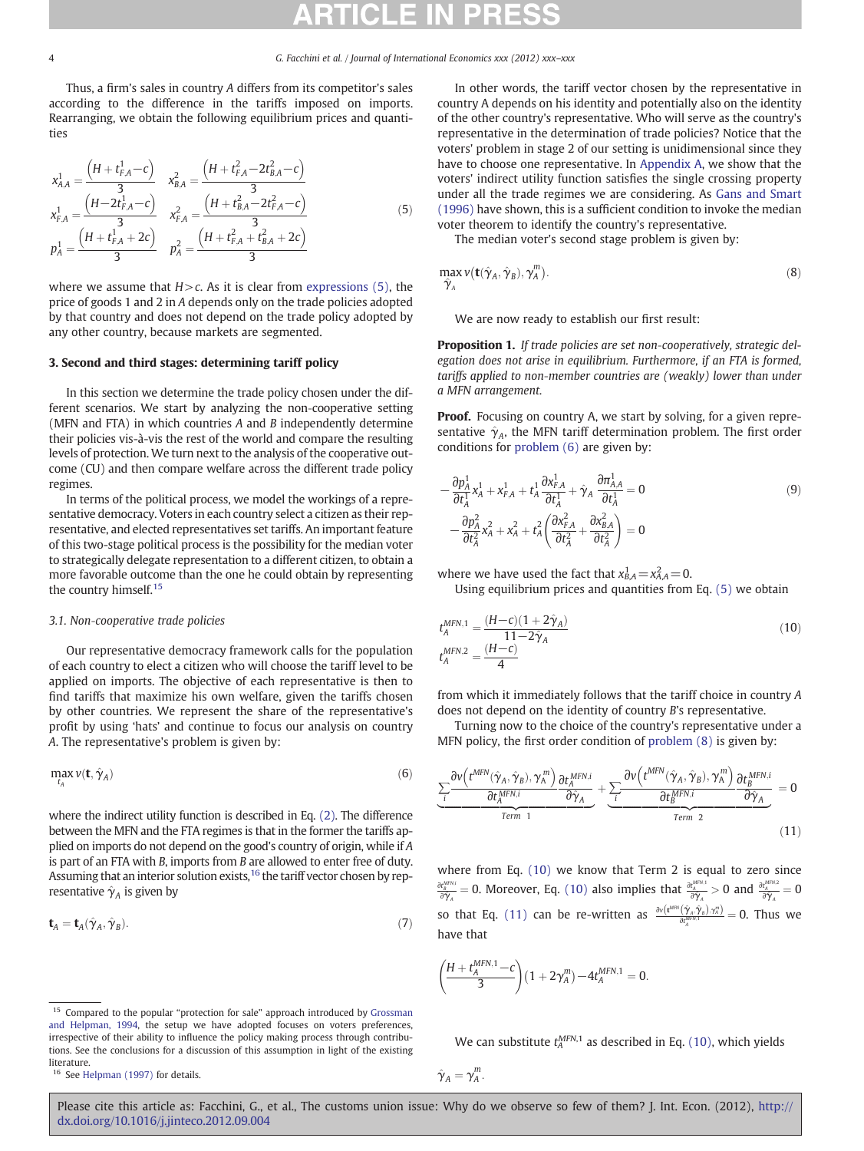<span id="page-3-0"></span>Thus, a firm's sales in country A differs from its competitor's sales according to the difference in the tariffs imposed on imports. Rearranging, we obtain the following equilibrium prices and quantities

$$
x_{A,A}^{1} = \frac{\left(H + t_{F,A}^{1} - c\right)}{3} \quad x_{B,A}^{2} = \frac{\left(H + t_{F,A}^{2} - 2t_{B,A}^{2} - c\right)}{3}
$$
\n
$$
x_{F,A}^{1} = \frac{\left(H - 2t_{F,A}^{1} - c\right)}{3} \quad x_{F,A}^{2} = \frac{\left(H + t_{B,A}^{2} - 2t_{F,A}^{2} - c\right)}{3}
$$
\n
$$
p_{A}^{1} = \frac{\left(H + t_{F,A}^{1} + 2c\right)}{3} \quad p_{A}^{2} = \frac{\left(H + t_{F,A}^{2} + t_{B,A}^{2} + 2c\right)}{3}
$$
\n
$$
(5)
$$

where we assume that  $H>c$ . As it is clear from expressions (5), the price of goods 1 and 2 in A depends only on the trade policies adopted by that country and does not depend on the trade policy adopted by any other country, because markets are segmented.

#### 3. Second and third stages: determining tariff policy

In this section we determine the trade policy chosen under the different scenarios. We start by analyzing the non‐cooperative setting (MFN and FTA) in which countries A and B independently determine their policies vis-à-vis the rest of the world and compare the resulting levels of protection. We turn next to the analysis of the cooperative outcome (CU) and then compare welfare across the different trade policy regimes.

In terms of the political process, we model the workings of a representative democracy. Voters in each country select a citizen as their representative, and elected representatives set tariffs. An important feature of this two-stage political process is the possibility for the median voter to strategically delegate representation to a different citizen, to obtain a more favorable outcome than the one he could obtain by representing the country himself.<sup>15</sup>

### 3.1. Non‐cooperative trade policies

Our representative democracy framework calls for the population of each country to elect a citizen who will choose the tariff level to be applied on imports. The objective of each representative is then to find tariffs that maximize his own welfare, given the tariffs chosen by other countries. We represent the share of the representative's profit by using 'hats' and continue to focus our analysis on country A. The representative's problem is given by:

$$
\max_{t_A} v(\mathbf{t}, \hat{\mathbf{y}}_A) \tag{6}
$$

where the indirect utility function is described in Eq. [\(2\)](#page-2-0). The difference between the MFN and the FTA regimes is that in the former the tariffs applied on imports do not depend on the good's country of origin, while if A is part of an FTA with B, imports from B are allowed to enter free of duty. Assuming that an interior solution exists,  $16$  the tariff vector chosen by representative  $\hat{\gamma}_A$  is given by

$$
\mathbf{t}_A = \mathbf{t}_A(\hat{\mathbf{y}}_A, \hat{\mathbf{y}}_B). \tag{7}
$$

In other words, the tariff vector chosen by the representative in country A depends on his identity and potentially also on the identity of the other country's representative. Who will serve as the country's representative in the determination of trade policies? Notice that the voters' problem in stage 2 of our setting is unidimensional since they have to choose one representative. In [Appendix A](#page-10-0), we show that the voters' indirect utility function satisfies the single crossing property under all the trade regimes we are considering. As [Gans and Smart](#page-11-0) [\(1996\)](#page-11-0) have shown, this is a sufficient condition to invoke the median voter theorem to identify the country's representative.

The median voter's second stage problem is given by:

$$
\max_{\hat{\mathbf{Y}}_A} \mathbf{v}\left(\mathbf{t}(\hat{\mathbf{y}}_A, \hat{\mathbf{y}}_B), \mathbf{y}_A^m\right). \tag{8}
$$

We are now ready to establish our first result:

**Proposition 1.** If trade policies are set non-cooperatively, strategic delegation does not arise in equilibrium. Furthermore, if an FTA is formed, tariffs applied to non‐member countries are (weakly) lower than under a MFN arrangement.

Proof. Focusing on country A, we start by solving, for a given representative  $\hat{\gamma}_A$ , the MFN tariff determination problem. The first order conditions for problem (6) are given by:

$$
-\frac{\partial p_A^1}{\partial t_A^1} x_A^1 + x_{FA}^1 + t_A^1 \frac{\partial x_{FA}^1}{\partial t_A^1} + \hat{\gamma}_A \frac{\partial \pi_{AA}^1}{\partial t_A^1} = 0
$$
\n
$$
-\frac{\partial p_A^2}{\partial t_A^2} x_A^2 + x_A^2 + t_A^2 \left(\frac{\partial x_{FA}^2}{\partial t_A^2} + \frac{\partial x_{BA}^2}{\partial t_A^2}\right) = 0
$$
\n(9)

where we have used the fact that  $x_{BA}^1 = x_{AA}^2 = 0$ .

Using equilibrium prices and quantities from Eq. (5) we obtain

$$
t_A^{MFN,1} = \frac{(H-c)(1+2\hat{\gamma}_A)}{11-2\hat{\gamma}_A}
$$
  
\n
$$
t_A^{MFN,2} = \frac{(H-c)}{4}
$$
\n(10)

from which it immediately follows that the tariff choice in country A does not depend on the identity of country B's representative.

Turning now to the choice of the country's representative under a MFN policy, the first order condition of problem (8) is given by:

$$
\underbrace{\sum_{i} \frac{\partial v(t^{MFN}(\hat{\gamma}_A, \hat{\gamma}_B), \gamma_A^m)}{\partial t_A^{MFN,i}} \frac{\partial t_A^{MFN,i}}{\partial \hat{\gamma}_A} + \underbrace{\sum_{i} \frac{\partial v(t^{MFN}(\hat{\gamma}_A, \hat{\gamma}_B), \gamma_A^m)}{\partial t_B^{MFN,i}} \frac{\partial t_B^{MFN,i}}{\partial \hat{\gamma}_A}}_{Term 2} = 0
$$
\n(11)

where from Eq. (10) we know that Term 2 is equal to zero since  $\frac{\partial t_n^{MKN,i}}{\partial \hat{\gamma}_A}=0$ . Moreover, Eq. (10) also implies that  $\frac{\partial t_n^{MKN,i}}{\partial \hat{\gamma}_A}>0$  and  $\frac{\partial t_n^{MKN,i}}{\partial \hat{\gamma}_A}=0$ so that Eq. (11) can be re-written as  $\frac{\partial v(t^{MIN}(\hat{\gamma}_A, \hat{\gamma}_B), \gamma_A^m)}{2^{MNK+1}}$  $\frac{(Y_A, Y_B), Y_A)}{\partial t_A^{MFN,1}} = 0$ . Thus we have that

$$
\left(\frac{H+t^{MFN,1}_{A}-c}{3}\right)(1+2\gamma^{m}_{A})-4t^{MFN,1}_{A}=0.
$$

We can substitute  $t_A^{MFN,1}$  as described in Eq. (10), which yields

$$
\hat{\gamma}_A=\gamma_A^m.
$$

<sup>&</sup>lt;sup>15</sup> Compared to the popular "protection for sale" approach introduced by [Grossman](#page-11-0) [and Helpman, 1994,](#page-11-0) the setup we have adopted focuses on voters preferences, irrespective of their ability to influence the policy making process through contributions. See the conclusions for a discussion of this assumption in light of the existing literature.

<sup>16</sup> See [Helpman \(1997\)](#page-11-0) for details.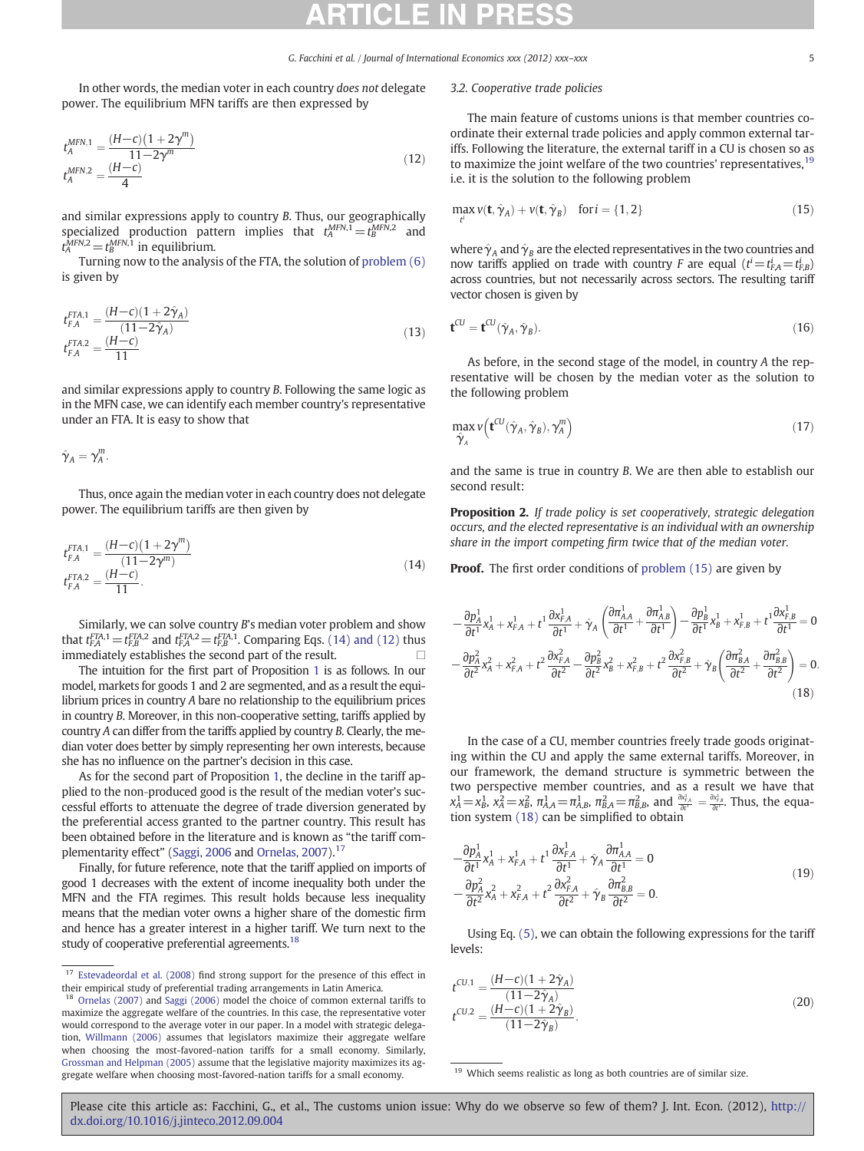<span id="page-4-0"></span>In other words, the median voter in each country does not delegate power. The equilibrium MFN tariffs are then expressed by

$$
t_A^{MFN,1} = \frac{(H-c)(1+2\gamma^m)}{11-2\gamma^m}
$$
  
\n
$$
t_A^{MFN,2} = \frac{(H-c)}{4}
$$
\n(12)

and similar expressions apply to country B. Thus, our geographically specialized production pattern implies that  $t_A^{MFN,1}=t_B^{MFN,2}$  and  $t_A^{MFN,2} = t_B^{MFN,1}$  in equilibrium.

Turning now to the analysis of the FTA, the solution of [problem \(6\)](#page-3-0) is given by

$$
t_{FA}^{FTA,1} = \frac{(H-c)(1+2\hat{\gamma}_A)}{(11-2\hat{\gamma}_A)}
$$
  
\n
$$
t_{FA}^{FTA,2} = \frac{(H-c)}{11}
$$
\n(13)

and similar expressions apply to country B. Following the same logic as in the MFN case, we can identify each member country's representative under an FTA. It is easy to show that

$$
\hat{\gamma}_A=\gamma_A^m.
$$

Thus, once again the median voter in each country does not delegate power. The equilibrium tariffs are then given by

$$
t_{FA}^{FTA,1} = \frac{(H-c)(1+2\gamma^m)}{(11-2\gamma^m)}
$$
  
\n
$$
t_{FA}^{FTA,2} = \frac{(H-c)}{11}.
$$
\n(14)

Similarly, we can solve country B's median voter problem and show that  $t_{FA}^{FTA,1}=t_{FB}^{FTA,2}$  and  $t_{FA}^{FTA,2}=t_{FB}^{FTA,1}$ . Comparing Eqs. (14) and (12) thus immediately establishes the second part of the result.

The intuition for the first part of Proposition [1](#page-3-0) is as follows. In our model, markets for goods 1 and 2 are segmented, and as a result the equilibrium prices in country A bare no relationship to the equilibrium prices in country B. Moreover, in this non-cooperative setting, tariffs applied by country A can differ from the tariffs applied by country B. Clearly, the median voter does better by simply representing her own interests, because she has no influence on the partner's decision in this case.

As for the second part of Proposition [1,](#page-3-0) the decline in the tariff applied to the non-produced good is the result of the median voter's successful efforts to attenuate the degree of trade diversion generated by the preferential access granted to the partner country. This result has been obtained before in the literature and is known as "the tariff com-plementarity effect" [\(Saggi, 2006](#page-11-0) and [Ornelas, 2007\)](#page-11-0).<sup>17</sup>

Finally, for future reference, note that the tariff applied on imports of good 1 decreases with the extent of income inequality both under the MFN and the FTA regimes. This result holds because less inequality means that the median voter owns a higher share of the domestic firm and hence has a greater interest in a higher tariff. We turn next to the study of cooperative preferential agreements.<sup>18</sup>

#### 3.2. Cooperative trade policies

The main feature of customs unions is that member countries coordinate their external trade policies and apply common external tariffs. Following the literature, the external tariff in a CU is chosen so as to maximize the joint welfare of the two countries' representatives,  $19$ i.e. it is the solution to the following problem

$$
\max_{t^i} v(\mathbf{t}, \hat{\mathbf{y}}_A) + v(\mathbf{t}, \hat{\mathbf{y}}_B) \quad \text{for } i = \{1, 2\}
$$
\n(15)

where  $\hat{\gamma}_A$  and  $\hat{\gamma}_B$  are the elected representatives in the two countries and now tariffs applied on trade with country F are equal  $(t^i=t_{FA}^i=t_{FB}^i)$ across countries, but not necessarily across sectors. The resulting tariff vector chosen is given by

$$
\mathbf{t}^{\text{CU}} = \mathbf{t}^{\text{CU}}(\hat{\gamma}_A, \hat{\gamma}_B). \tag{16}
$$

As before, in the second stage of the model, in country A the representative will be chosen by the median voter as the solution to the following problem

$$
\max_{\hat{\mathbf{Y}}_A} \mathbf{v}\left(\mathbf{t}^{CU}(\hat{\mathbf{Y}}_A, \hat{\mathbf{Y}}_B), \mathbf{Y}_A^m\right) \tag{17}
$$

and the same is true in country B. We are then able to establish our second result:

Proposition 2. If trade policy is set cooperatively, strategic delegation occurs, and the elected representative is an individual with an ownership share in the import competing firm twice that of the median voter.

**Proof.** The first order conditions of problem (15) are given by

$$
-\frac{\partial p_A^1}{\partial t^1} x_A^1 + x_{F,A}^1 + t^1 \frac{\partial x_{F,A}^1}{\partial t^1} + \hat{\gamma}_A \left( \frac{\partial \pi_{A,A}^1}{\partial t^1} + \frac{\partial \pi_{A,B}^1}{\partial t^1} \right) - \frac{\partial p_B^1}{\partial t^1} x_B^1 + x_{F,B}^1 + t^1 \frac{\partial x_{F,B}^1}{\partial t^1} = 0
$$
  

$$
-\frac{\partial p_A^2}{\partial t^2} x_A^2 + x_{F,A}^2 + t^2 \frac{\partial x_{F,A}^2}{\partial t^2} - \frac{\partial p_B^2}{\partial t^2} x_B^2 + x_{F,B}^2 + t^2 \frac{\partial x_{F,B}^2}{\partial t^2} + \hat{\gamma}_B \left( \frac{\partial \pi_{B,A}^2}{\partial t^2} + \frac{\partial \pi_{B,B}^2}{\partial t^2} \right) = 0.
$$
(18)

In the case of a CU, member countries freely trade goods originating within the CU and apply the same external tariffs. Moreover, in our framework, the demand structure is symmetric between the two perspective member countries, and as a result we have that  $x_A^1 = x_B^1$ ,  $x_A^2 = x_B^2$ ,  $\pi_{A,A}^1 = \pi_{A,B}^1$ ,  $\pi_{B,A}^2 = \pi_{B,B}^2$ , and  $\frac{\partial x_{B,A}^1}{\partial t^1} = \frac{\partial x_{B,B}^1}{\partial t^1}$ . Thus, the equation system (18) can be simplified to obtain tion system (18) can be simplified to obtain

$$
-\frac{\partial p_A^1}{\partial t^1} x_A^1 + x_{F,A}^1 + t^1 \frac{\partial x_{F,A}^1}{\partial t^1} + \hat{\gamma}_A \frac{\partial \pi_{A,A}^1}{\partial t^1} = 0
$$
  

$$
-\frac{\partial p_A^2}{\partial t^2} x_A^2 + x_{F,A}^2 + t^2 \frac{\partial x_{F,A}^2}{\partial t^2} + \hat{\gamma}_B \frac{\partial \pi_{B,B}^2}{\partial t^2} = 0.
$$
 (19)

Using Eq. [\(5\),](#page-3-0) we can obtain the following expressions for the tariff levels:

$$
t^{CU,1} = \frac{(H-c)(1+2\hat{\gamma}_A)}{(11-2\hat{\gamma}_A)}
$$
  
\n
$$
t^{CU,2} = \frac{(H-c)(1+2\hat{\gamma}_B)}{(11-2\hat{\gamma}_B)}.
$$
\n(20)

<sup>&</sup>lt;sup>17</sup> [Estevadeordal et al. \(2008\)](#page-11-0) find strong support for the presence of this effect in their empirical study of preferential trading arrangements in Latin America.

<sup>&</sup>lt;sup>18</sup> [Ornelas \(2007\)](#page-11-0) and [Saggi \(2006\)](#page-11-0) model the choice of common external tariffs to maximize the aggregate welfare of the countries. In this case, the representative voter would correspond to the average voter in our paper. In a model with strategic delegation, [Willmann \(2006\)](#page-11-0) assumes that legislators maximize their aggregate welfare when choosing the most-favored-nation tariffs for a small economy. Similarly, [Grossman and Helpman \(2005\)](#page-11-0) assume that the legislative majority maximizes its aggregate welfare when choosing most-favored-nation tariffs for a small economy. <sup>19</sup> Which seems realistic as long as both countries are of similar size.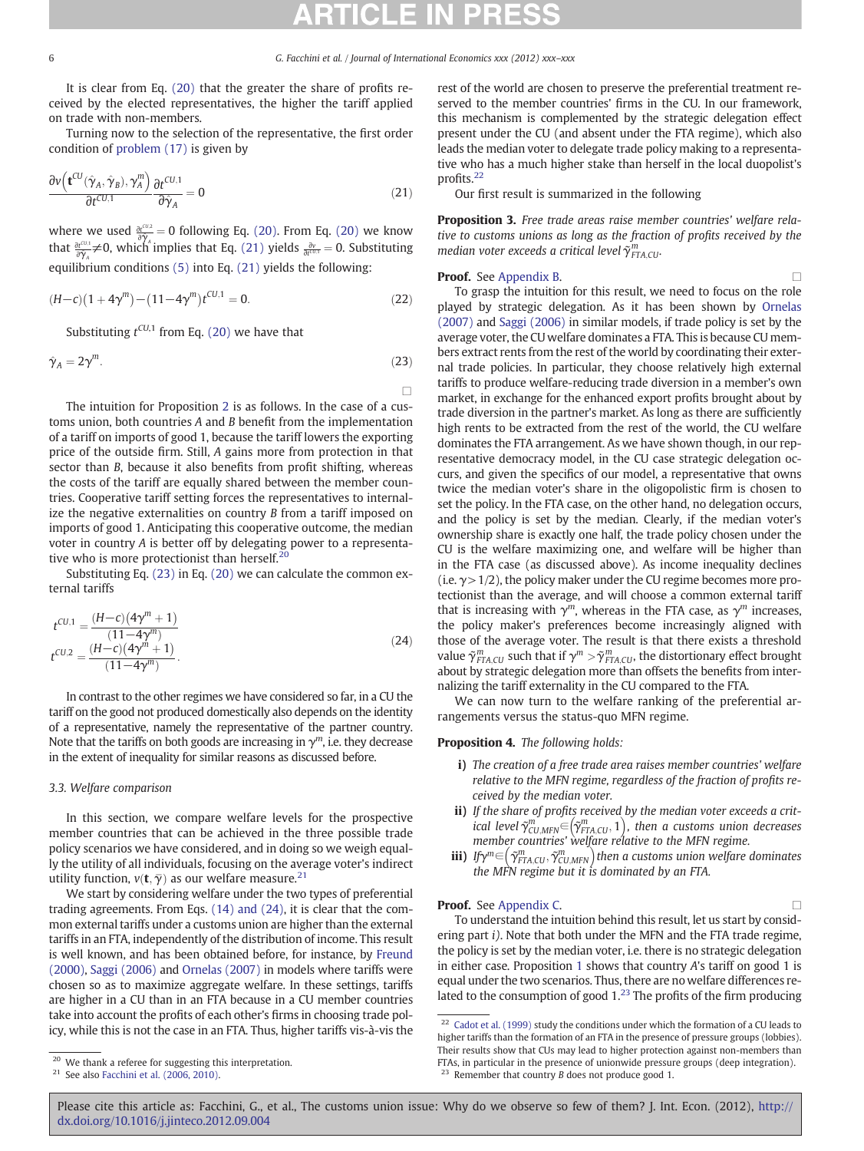<span id="page-5-0"></span>It is clear from Eq. [\(20\)](#page-4-0) that the greater the share of profits received by the elected representatives, the higher the tariff applied on trade with non-members.

Turning now to the selection of the representative, the first order condition of [problem \(17\)](#page-4-0) is given by

$$
\frac{\partial v\left(\mathbf{t}^{CU}(\hat{\gamma}_A, \hat{\gamma}_B), \gamma_A^m\right)}{\partial t^{CU,1}} \frac{\partial t^{CU,1}}{\partial \hat{\gamma}_A} = 0
$$
\n(21)

where we used  $\frac{\partial t^{CU,2}}{\partial \gamma_A} = 0$  following Eq. [\(20\).](#page-4-0) From Eq. [\(20\)](#page-4-0) we know that  $\frac{\partial t^{CU,1}}{\partial \gamma_A} \neq 0$ , which implies that Eq. (21) yields  $\frac{\partial v}{\partial t^{CU,1}} = 0$ . Substituting equilibrium conditions [\(5\)](#page-3-0) into Eq. (21) yields the following:

$$
(H-c)(1+4\gamma^{m}) - (11-4\gamma^{m})t^{CU,1} = 0.
$$
\n(22)

Substituting  $t^{CU,1}$  from Eq. [\(20\)](#page-4-0) we have that

$$
\hat{\gamma}_A = 2\gamma^m. \tag{23}
$$

□ The intuition for Proposition [2](#page-4-0) is as follows. In the case of a customs union, both countries A and B benefit from the implementation of a tariff on imports of good 1, because the tariff lowers the exporting price of the outside firm. Still, A gains more from protection in that sector than B, because it also benefits from profit shifting, whereas the costs of the tariff are equally shared between the member countries. Cooperative tariff setting forces the representatives to internalize the negative externalities on country B from a tariff imposed on imports of good 1. Anticipating this cooperative outcome, the median voter in country A is better off by delegating power to a representative who is more protectionist than herself. $^{20}$ 

Substituting Eq. (23) in Eq. [\(20\)](#page-4-0) we can calculate the common external tariffs

$$
t^{CU,1} = \frac{(H-c)(4\gamma^m + 1)}{(11 - 4\gamma^m)}
$$
  
\n
$$
t^{CU,2} = \frac{(H-c)(4\gamma^m + 1)}{(11 - 4\gamma^m)}.
$$
\n(24)

In contrast to the other regimes we have considered so far, in a CU the tariff on the good not produced domestically also depends on the identity of a representative, namely the representative of the partner country. Note that the tariffs on both goods are increasing in  $\gamma^m$ , i.e. they decrease in the extent of inequality for similar reasons as discussed before.

#### 3.3. Welfare comparison

In this section, we compare welfare levels for the prospective member countries that can be achieved in the three possible trade policy scenarios we have considered, and in doing so we weigh equally the utility of all individuals, focusing on the average voter's indirect utility function,  $v(\mathbf{t}, \overline{\gamma})$  as our welfare measure.<sup>21</sup><br>We start by considering welfare under the two

We start by considering welfare under the two types of preferential trading agreements. From Eqs. [\(14\) and \(24\),](#page-4-0) it is clear that the common external tariffs under a customs union are higher than the external tariffs in an FTA, independently of the distribution of income. This result is well known, and has been obtained before, for instance, by [Freund](#page-11-0) [\(2000\)](#page-11-0), [Saggi \(2006\)](#page-11-0) and [Ornelas \(2007\)](#page-11-0) in models where tariffs were chosen so as to maximize aggregate welfare. In these settings, tariffs are higher in a CU than in an FTA because in a CU member countries take into account the profits of each other's firms in choosing trade policy, while this is not the case in an FTA. Thus, higher tariffs vis-à-vis the rest of the world are chosen to preserve the preferential treatment reserved to the member countries' firms in the CU. In our framework, this mechanism is complemented by the strategic delegation effect present under the CU (and absent under the FTA regime), which also leads the median voter to delegate trade policy making to a representative who has a much higher stake than herself in the local duopolist's profits.<sup>22</sup>

Our first result is summarized in the following

Proposition 3. Free trade areas raise member countries' welfare relative to customs unions as long as the fraction of profits received by the median voter exceeds a critical level  $\tilde{\gamma}_{\rm{FTA,CU}}^{\rm{m}}$ .

### Proof. See [Appendix B.](#page-10-0)

To grasp the intuition for this result, we need to focus on the role played by strategic delegation. As it has been shown by [Ornelas](#page-11-0) [\(2007\)](#page-11-0) and [Saggi \(2006\)](#page-11-0) in similar models, if trade policy is set by the average voter, the CU welfare dominates a FTA. This is because CU members extract rents from the rest of the world by coordinating their external trade policies. In particular, they choose relatively high external tariffs to produce welfare-reducing trade diversion in a member's own market, in exchange for the enhanced export profits brought about by trade diversion in the partner's market. As long as there are sufficiently high rents to be extracted from the rest of the world, the CU welfare dominates the FTA arrangement. As we have shown though, in our representative democracy model, in the CU case strategic delegation occurs, and given the specifics of our model, a representative that owns twice the median voter's share in the oligopolistic firm is chosen to set the policy. In the FTA case, on the other hand, no delegation occurs, and the policy is set by the median. Clearly, if the median voter's ownership share is exactly one half, the trade policy chosen under the CU is the welfare maximizing one, and welfare will be higher than in the FTA case (as discussed above). As income inequality declines (i.e.  $\gamma$  > 1/2), the policy maker under the CU regime becomes more protectionist than the average, and will choose a common external tariff that is increasing with  $\gamma^m$ , whereas in the FTA case, as  $\gamma^m$  increases, the policy maker's preferences become increasingly aligned with those of the average voter. The result is that there exists a threshold value  $\tilde{\gamma}_{FTA,CU}^m$  such that if  $\gamma^m > \tilde{\gamma}_{FTA,CU}^m$ , the distortionary effect brought about by strategic delegation more than offsets the benefits from internalizing the tariff externality in the CU compared to the FTA.

We can now turn to the welfare ranking of the preferential arrangements versus the status-quo MFN regime.

### Proposition 4. The following holds:

- i) The creation of a free trade area raises member countries' welfare relative to the MFN regime, regardless of the fraction of profits received by the median voter.
- ii) If the share of profits received by the median voter exceeds a critical level  $\widetilde{\gamma}_{\text{CU,MFN}}^m \in (\widetilde{\gamma}_{\text{FTA,CU}}^m, 1)$ , then a customs union decreases member countries' welfare relative to the MFN regime.
- **iii**) If $\gamma^m{\in} \left(\tilde{\gamma}^m_{\text{FTA,CU}}, \tilde{\gamma}^m_{\text{CU,MFN}}\right)$ then a customs union welfare dominates the MFN regime but it is dominated by an FTA.

#### **Proof.** See [Appendix C.](#page-10-0) □

To understand the intuition behind this result, let us start by considering part i). Note that both under the MFN and the FTA trade regime, the policy is set by the median voter, i.e. there is no strategic delegation in either case. Proposition [1](#page-3-0) shows that country A's tariff on good 1 is equal under the two scenarios. Thus, there are no welfare differences related to the consumption of good  $1<sup>23</sup>$  The profits of the firm producing

<sup>20</sup> We thank a referee for suggesting this interpretation.

 $21$  See also [Facchini et al. \(2006, 2010\).](#page-11-0)

 $22$  [Cadot et al. \(1999\)](#page-11-0) study the conditions under which the formation of a CU leads to higher tariffs than the formation of an FTA in the presence of pressure groups (lobbies). Their results show that CUs may lead to higher protection against non-members than FTAs, in particular in the presence of unionwide pressure groups (deep integration). Remember that country  $B$  does not produce good 1.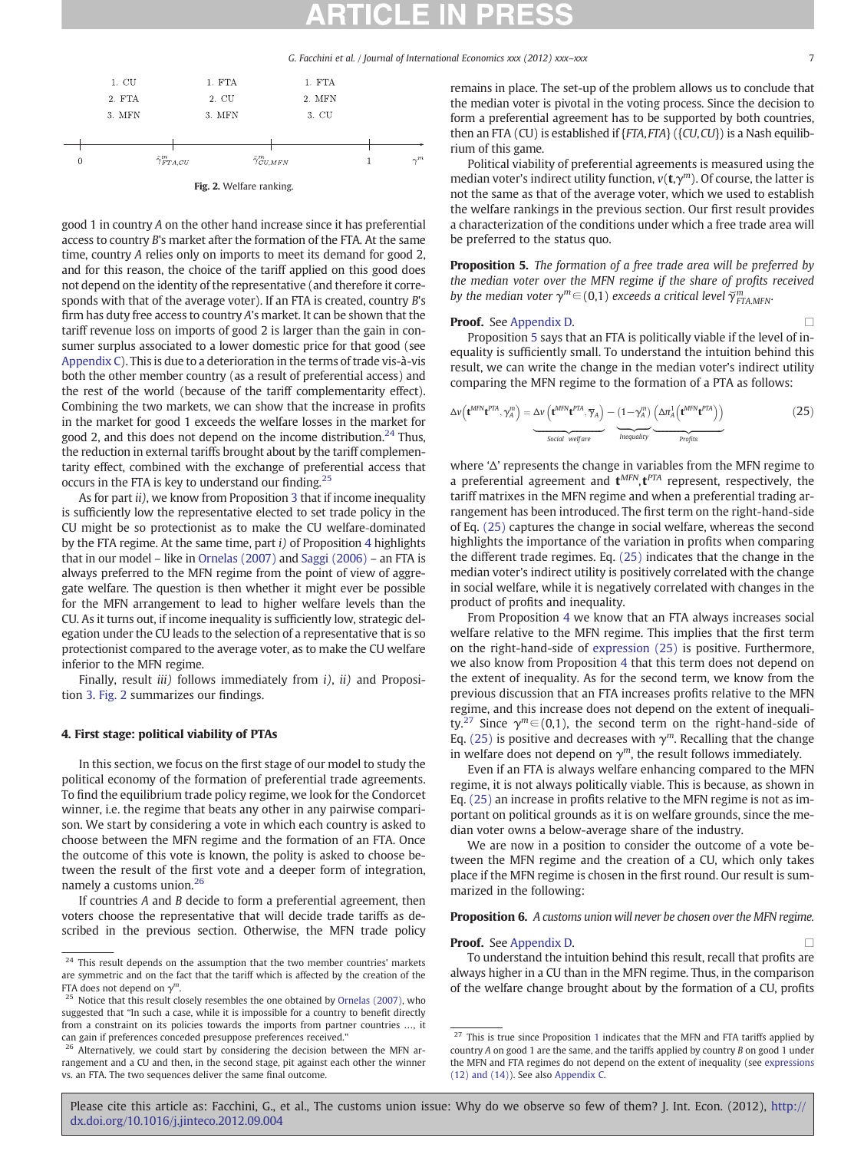<span id="page-6-0"></span>

good 1 in country A on the other hand increase since it has preferential access to country B's market after the formation of the FTA. At the same time, country A relies only on imports to meet its demand for good 2, and for this reason, the choice of the tariff applied on this good does not depend on the identity of the representative (and therefore it corresponds with that of the average voter). If an FTA is created, country B's firm has duty free access to country A's market. It can be shown that the tariff revenue loss on imports of good 2 is larger than the gain in consumer surplus associated to a lower domestic price for that good (see [Appendix C](#page-10-0)). This is due to a deterioration in the terms of trade vis-à-vis both the other member country (as a result of preferential access) and the rest of the world (because of the tariff complementarity effect). Combining the two markets, we can show that the increase in profits in the market for good 1 exceeds the welfare losses in the market for good 2, and this does not depend on the income distribution.<sup>24</sup> Thus, the reduction in external tariffs brought about by the tariff complementarity effect, combined with the exchange of preferential access that occurs in the FTA is key to understand our finding.<sup>25</sup>

As for part ii), we know from Proposition [3](#page-5-0) that if income inequality is sufficiently low the representative elected to set trade policy in the CU might be so protectionist as to make the CU welfare‐dominated by the FTA regime. At the same time, part i) of Proposition [4](#page-5-0) highlights that in our model – like in [Ornelas \(2007\)](#page-11-0) and [Saggi \(2006\)](#page-11-0) – an FTA is always preferred to the MFN regime from the point of view of aggregate welfare. The question is then whether it might ever be possible for the MFN arrangement to lead to higher welfare levels than the CU. As it turns out, if income inequality is sufficiently low, strategic delegation under the CU leads to the selection of a representative that is so protectionist compared to the average voter, as to make the CU welfare inferior to the MFN regime.

Finally, result *iii*) follows immediately from *i*), *ii*) and Proposition [3.](#page-5-0) Fig. 2 summarizes our findings.

### 4. First stage: political viability of PTAs

In this section, we focus on the first stage of our model to study the political economy of the formation of preferential trade agreements. To find the equilibrium trade policy regime, we look for the Condorcet winner, i.e. the regime that beats any other in any pairwise comparison. We start by considering a vote in which each country is asked to choose between the MFN regime and the formation of an FTA. Once the outcome of this vote is known, the polity is asked to choose between the result of the first vote and a deeper form of integration, namely a customs union.<sup>26</sup>

If countries A and B decide to form a preferential agreement, then voters choose the representative that will decide trade tariffs as described in the previous section. Otherwise, the MFN trade policy remains in place. The set-up of the problem allows us to conclude that the median voter is pivotal in the voting process. Since the decision to form a preferential agreement has to be supported by both countries, then an FTA (CU) is established if {FTA,FTA} ({CU,CU}) is a Nash equilibrium of this game.

Political viability of preferential agreements is measured using the median voter's indirect utility function,  $v(t, \gamma^m)$ . Of course, the latter is not the same as that of the average voter, which we used to establish the welfare rankings in the previous section. Our first result provides a characterization of the conditions under which a free trade area will be preferred to the status quo.

Proposition 5. The formation of a free trade area will be preferred by the median voter over the MFN regime if the share of profits received by the median voter  $\gamma^m {\in} (0,1)$  exceeds a critical level  $\widecheck{\gamma}^m_{\text{FTA,MFN}}$ .

### **Proof.** See [Appendix D](#page-11-0). □

Proposition 5 says that an FTA is politically viable if the level of inequality is sufficiently small. To understand the intuition behind this result, we can write the change in the median voter's indirect utility comparing the MFN regime to the formation of a PTA as follows:

$$
\Delta v \left( \mathbf{t}^{MFN} \mathbf{t}^{PTA}, \gamma_A^m \right) = \underbrace{\Delta v \left( \mathbf{t}^{MFN} \mathbf{t}^{PTA}, \overline{\gamma}_A \right)}_{Social \: weight \: order} - \underbrace{(1 - \gamma_A^m)}_{Inequality} \underbrace{\left( \Delta \pi_A^1 \left( \mathbf{t}^{MFN} \mathbf{t}^{PTA} \right) \right)}_{Projits}
$$
(25)

where 'Δ' represents the change in variables from the MFN regime to a preferential agreement and  ${\bf t}^{MFN}$ ,  ${\bf t}^{PTA}$  represent, respectively, the tariff matrixes in the MFN regime and when a preferential trading arrangement has been introduced. The first term on the right-hand-side of Eq. (25) captures the change in social welfare, whereas the second highlights the importance of the variation in profits when comparing the different trade regimes. Eq. (25) indicates that the change in the median voter's indirect utility is positively correlated with the change in social welfare, while it is negatively correlated with changes in the product of profits and inequality.

From Proposition [4](#page-5-0) we know that an FTA always increases social welfare relative to the MFN regime. This implies that the first term on the right-hand-side of expression (25) is positive. Furthermore, we also know from Proposition [4](#page-5-0) that this term does not depend on the extent of inequality. As for the second term, we know from the previous discussion that an FTA increases profits relative to the MFN regime, and this increase does not depend on the extent of inequality.<sup>27</sup> Since  $\gamma^m \in (0,1)$ , the second term on the right-hand-side of Eq. (25) is positive and decreases with  $\gamma^m$ . Recalling that the change in welfare does not depend on  $\gamma^m$ , the result follows immediately.

Even if an FTA is always welfare enhancing compared to the MFN regime, it is not always politically viable. This is because, as shown in Eq. (25) an increase in profits relative to the MFN regime is not as important on political grounds as it is on welfare grounds, since the median voter owns a below-average share of the industry.

We are now in a position to consider the outcome of a vote between the MFN regime and the creation of a CU, which only takes place if the MFN regime is chosen in the first round. Our result is summarized in the following:

Proposition 6. A customs union will never be chosen over the MFN regime.

#### Proof. See [Appendix D](#page-11-0).

To understand the intuition behind this result, recall that profits are always higher in a CU than in the MFN regime. Thus, in the comparison of the welfare change brought about by the formation of a CU, profits

<sup>&</sup>lt;sup>24</sup> This result depends on the assumption that the two member countries' markets are symmetric and on the fact that the tariff which is affected by the creation of the FTA does not depend on  $\gamma^m$ 

<sup>&</sup>lt;sup>25</sup> Notice that this result closely resembles the one obtained by [Ornelas \(2007\)](#page-11-0), who suggested that "In such a case, while it is impossible for a country to benefit directly from a constraint on its policies towards the imports from partner countries …, it can gain if preferences conceded presuppose preferences received."

<sup>&</sup>lt;sup>26</sup> Alternatively, we could start by considering the decision between the MFN arrangement and a CU and then, in the second stage, pit against each other the winner vs. an FTA. The two sequences deliver the same final outcome.

This is true since Proposition [1](#page-3-0) indicates that the MFN and FTA tariffs applied by country A on good 1 are the same, and the tariffs applied by country B on good 1 under the MFN and FTA regimes do not depend on the extent of inequality (see [expressions](#page-4-0) [\(12\) and \(14\)](#page-4-0)). See also [Appendix C](#page-10-0).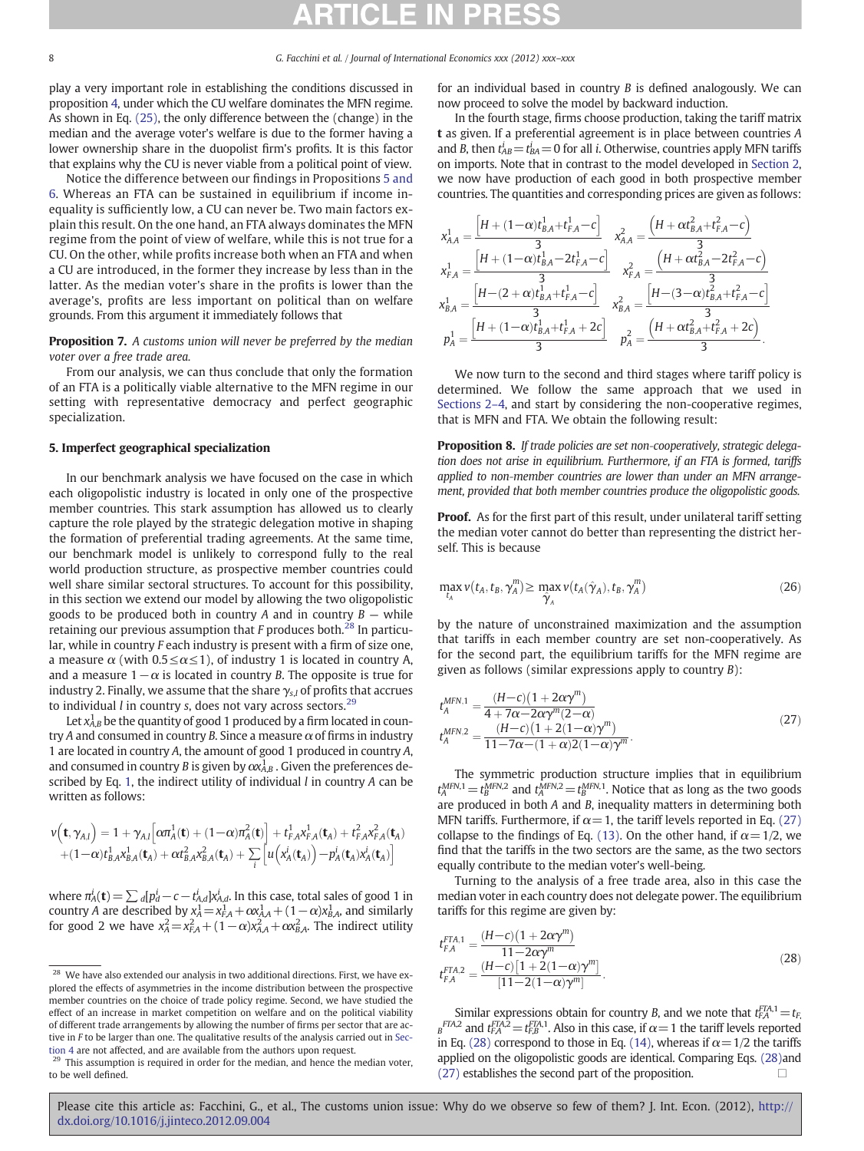<span id="page-7-0"></span>play a very important role in establishing the conditions discussed in proposition [4](#page-5-0), under which the CU welfare dominates the MFN regime. As shown in Eq. [\(25\),](#page-6-0) the only difference between the (change) in the median and the average voter's welfare is due to the former having a lower ownership share in the duopolist firm's profits. It is this factor that explains why the CU is never viable from a political point of view.

Notice the difference between our findings in Propositions [5 and](#page-6-0) [6](#page-6-0). Whereas an FTA can be sustained in equilibrium if income inequality is sufficiently low, a CU can never be. Two main factors explain this result. On the one hand, an FTA always dominates the MFN regime from the point of view of welfare, while this is not true for a CU. On the other, while profits increase both when an FTA and when a CU are introduced, in the former they increase by less than in the latter. As the median voter's share in the profits is lower than the average's, profits are less important on political than on welfare grounds. From this argument it immediately follows that

### Proposition 7. A customs union will never be preferred by the median voter over a free trade area.

From our analysis, we can thus conclude that only the formation of an FTA is a politically viable alternative to the MFN regime in our setting with representative democracy and perfect geographic specialization.

### 5. Imperfect geographical specialization

In our benchmark analysis we have focused on the case in which each oligopolistic industry is located in only one of the prospective member countries. This stark assumption has allowed us to clearly capture the role played by the strategic delegation motive in shaping the formation of preferential trading agreements. At the same time, our benchmark model is unlikely to correspond fully to the real world production structure, as prospective member countries could well share similar sectoral structures. To account for this possibility, in this section we extend our model by allowing the two oligopolistic goods to be produced both in country  $A$  and in country  $B$  – while retaining our previous assumption that  $F$  produces both.<sup>28</sup> In particular, while in country F each industry is present with a firm of size one, a measure  $\alpha$  (with  $0.5 \le \alpha \le 1$ ), of industry 1 is located in country A, and a measure  $1-\alpha$  is located in country B. The opposite is true for industry 2. Finally, we assume that the share  $\gamma_{s,l}$  of profits that accrues to individual l in country s, does not vary across sectors.<sup>29</sup>

Let  $x_{A,B}^1$  be the quantity of good 1 produced by a firm located in country A and consumed in country B. Since a measure  $\alpha$  of firms in industry 1 are located in country A, the amount of good 1 produced in country A, and consumed in country B is given by  $\alpha x_{A,B}^1$  . Given the preferences de-scribed by Eq. [1,](#page-2-0) the indirect utility of individual  $l$  in country  $A$  can be written as follows:

$$
\nu\Big(\mathbf{t},\gamma_{A,l}\Big)=1+\gamma_{A,l}\Big[\alpha\pi_A^1(\mathbf{t})+(1-\alpha)\pi_A^2(\mathbf{t})\Big]+t_{F,A}^1\chi_{F,A}^1(\mathbf{t}_A)+t_{F,A}^2\chi_{F,A}^2(\mathbf{t}_A)\\+(1-\alpha)t_{B,A}^1\chi_{B,A}^1(\mathbf{t}_A)+\alpha t_{B,A}^2\chi_{B,A}^2(\mathbf{t}_A)+\sum_i\Big[u\Big(\mathbf{x}_A^i(\mathbf{t}_A)\Big)-p_A^i(\mathbf{t}_A)\mathbf{x}_A^i(\mathbf{t}_A)\Big]
$$

where  $\pi_A^i(\mathbf{t}) = \sum_{d} [p_d^i - c - t_{A,d}^i] x_{A,d}^i$ . In this case, total sales of good 1 in country A are described by  $x_A^1 = x_{FA}^1 + \alpha x_{AA}^1 + (1 - \alpha)x_{BA}^1$ , and similarly for good 2 we have  $x_A^2 = x_{FA}^2 + (1 - \alpha)x_{AA}^2 + \alpha x_{BA}^2$ . The indirect utility for an individual based in country  $B$  is defined analogously. We can now proceed to solve the model by backward induction.

In the fourth stage, firms choose production, taking the tariff matrix t as given. If a preferential agreement is in place between countries A and B, then  $t_{AB}^i = t_{BA}^i = 0$  for all *i*. Otherwise, countries apply MFN tariffs on imports. Note that in contrast to the model developed in [Section 2,](#page-2-0) we now have production of each good in both prospective member countries. The quantities and corresponding prices are given as follows:

$$
x_{A,A}^1 = \frac{\left[H + (1-\alpha)t_{B,A}^1 + t_{F,A}^1 - c\right]}{3} \quad x_{A,A}^2 = \frac{\left(H + \alpha t_{B,A}^2 + t_{F,A}^2 - c\right)}{3} \\
x_{F,A}^1 = \frac{\left[H + (1-\alpha)t_{B,A}^1 - 2t_{F,A}^1 - c\right]}{3} \quad x_{F,A}^2 = \frac{\left(H + \alpha t_{B,A}^2 - 2t_{F,A}^2 - c\right)}{3} \\
x_{B,A}^1 = \frac{\left[H - (2+\alpha)t_{B,A}^1 + t_{F,A}^1 - c\right]}{3} \quad x_{B,A}^2 = \frac{\left[H - (3-\alpha)t_{B,A}^2 + t_{F,A}^2 - c\right]}{3} \\
p_A^1 = \frac{\left[H + (1-\alpha)t_{B,A}^1 + t_{F,A}^1 + 2c\right]}{3} \quad p_A^2 = \frac{\left(H + \alpha t_{B,A}^2 + t_{F,A}^2 + 2c\right)}{3}.
$$

We now turn to the second and third stages where tariff policy is determined. We follow the same approach that we used in [Sections 2](#page-2-0)–4, and start by considering the non-cooperative regimes, that is MFN and FTA. We obtain the following result:

Proposition 8. If trade policies are set non-cooperatively, strategic delegation does not arise in equilibrium. Furthermore, if an FTA is formed, tariffs applied to non‐member countries are lower than under an MFN arrangement, provided that both member countries produce the oligopolistic goods.

**Proof.** As for the first part of this result, under unilateral tariff setting the median voter cannot do better than representing the district herself. This is because

$$
\max_{t_A} v(t_A, t_B, \gamma_A^m) \ge \max_{\hat{\gamma}_A} v(t_A(\hat{\gamma}_A), t_B, \gamma_A^m) \tag{26}
$$

by the nature of unconstrained maximization and the assumption that tariffs in each member country are set non-cooperatively. As for the second part, the equilibrium tariffs for the MFN regime are given as follows (similar expressions apply to country B):

$$
t_A^{MFN,1} = \frac{(H-c)(1+2\alpha\gamma^m)}{4+7\alpha-2\alpha\gamma^m(2-\alpha)}
$$
  
\n
$$
t_A^{MFN,2} = \frac{(H-c)(1+2(1-\alpha)\gamma^m)}{11-7\alpha-(1+\alpha)2(1-\alpha)\gamma^m}.
$$
\n(27)

The symmetric production structure implies that in equilibrium  $t_A^{MFN,1}=t_B^{MFN,2}$  and  $t_A^{MFN,2}=t_B^{MFN,1}$ . Notice that as long as the two goods are produced in both A and B, inequality matters in determining both MFN tariffs. Furthermore, if  $\alpha = 1$ , the tariff levels reported in Eq. (27) collapse to the findings of Eq. [\(13\)](#page-4-0). On the other hand, if  $\alpha = 1/2$ , we find that the tariffs in the two sectors are the same, as the two sectors equally contribute to the median voter's well-being.

Turning to the analysis of a free trade area, also in this case the median voter in each country does not delegate power. The equilibrium tariffs for this regime are given by:

$$
t_{FA}^{FTA,1} = \frac{(H-c)(1+2\alpha\gamma^{m})}{11-2\alpha\gamma^{m}}
$$
  
\n
$$
t_{FA}^{FTA,2} = \frac{(H-c)\left[1+2(1-\alpha)\gamma^{m}\right]}{\left[11-2(1-\alpha)\gamma^{m}\right]}.
$$
\n(28)

Similar expressions obtain for country *B*, and we note that  $t_{FA}^{FTA,1}=t_F$  $B_{B}^{FTA,2}$  and  $t_{FA}^{FTA,2}$  =  $t_{FB}^{FTA,1}$ . Also in this case, if  $\alpha$  = 1 the tariff levels reported in Eq. (28) correspond to those in Eq. [\(14\)](#page-4-0), whereas if  $\alpha$  = 1/2 the tariffs applied on the oligopolistic goods are identical. Comparing Eqs. (28)and  $(27)$  establishes the second part of the proposition.  $□$ 

<sup>&</sup>lt;sup>28</sup> We have also extended our analysis in two additional directions. First, we have explored the effects of asymmetries in the income distribution between the prospective member countries on the choice of trade policy regime. Second, we have studied the effect of an increase in market competition on welfare and on the political viability of different trade arrangements by allowing the number of firms per sector that are active in  $F$  to be larger than one. The qualitative results of the analysis carried out in [Sec](#page-6-0)[tion 4](#page-6-0) are not affected, and are available from the authors upon request.

<sup>&</sup>lt;sup>29</sup> This assumption is required in order for the median, and hence the median voter, to be well defined.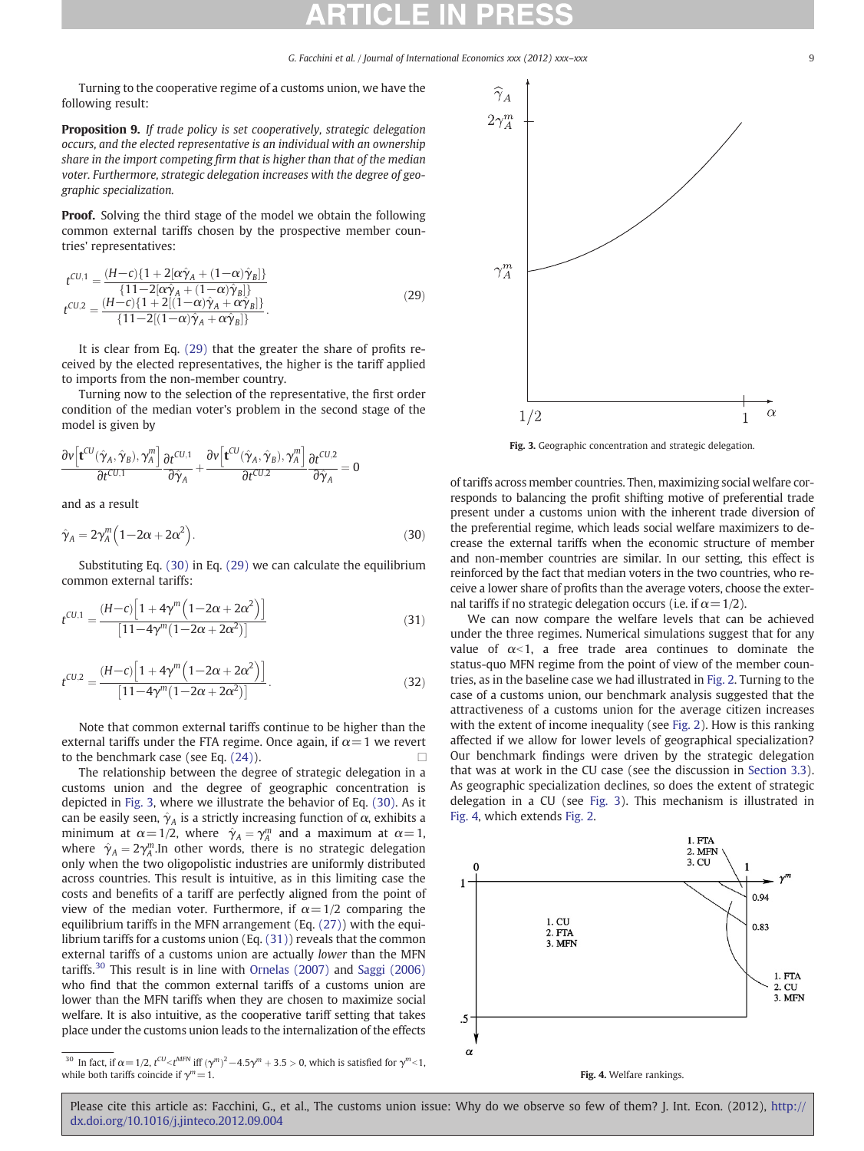Turning to the cooperative regime of a customs union, we have the following result:

Proposition 9. If trade policy is set cooperatively, strategic delegation occurs, and the elected representative is an individual with an ownership share in the import competing firm that is higher than that of the median voter. Furthermore, strategic delegation increases with the degree of geographic specialization.

**Proof.** Solving the third stage of the model we obtain the following common external tariffs chosen by the prospective member countries' representatives:

$$
t^{CU,1} = \frac{(H-c)\{1+2[\alpha\hat{\gamma}_A + (1-\alpha)\hat{\gamma}_B]\}}{\{11-2[\alpha\hat{\gamma}_A + (1-\alpha)\hat{\gamma}_B]\}}
$$
  

$$
t^{CU,2} = \frac{(H-c)\{1+2[(1-\alpha)\hat{\gamma}_A + \alpha\hat{\gamma}_B]\}}{\{11-2[(1-\alpha)\hat{\gamma}_A + \alpha\hat{\gamma}_B]\}}
$$
 (29)

It is clear from Eq. (29) that the greater the share of profits received by the elected representatives, the higher is the tariff applied to imports from the non-member country.

Turning now to the selection of the representative, the first order condition of the median voter's problem in the second stage of the model is given by

$$
\frac{\partial v \Big[\mathbf{t}^{CU}(\hat{\gamma}_A, \hat{\gamma}_B), \gamma_A^m\Big]}{\partial t^{CU,1}} \frac{\partial t^{CU,1}}{\partial \hat{\gamma}_A} + \frac{\partial v \Big[\mathbf{t}^{CU}(\hat{\gamma}_A, \hat{\gamma}_B), \gamma_A^m\Big]}{\partial t^{CU,2}} \frac{\partial t^{CU,2}}{\partial \hat{\gamma}_A} = 0
$$

and as a result

$$
\hat{\gamma}_A = 2\gamma_A^m \left(1 - 2\alpha + 2\alpha^2\right). \tag{30}
$$

Substituting Eq. (30) in Eq. (29) we can calculate the equilibrium common external tariffs:

$$
t^{CU,1} = \frac{(H-c)\left[1+4\gamma^m\left(1-2\alpha+2\alpha^2\right)\right]}{\left[11-4\gamma^m\left(1-2\alpha+2\alpha^2\right)\right]}
$$
(31)

$$
t^{CU,2} = \frac{(H-c)\left[1+4\gamma^m\left(1-2\alpha+2\alpha^2\right)\right]}{\left[11-4\gamma^m\left(1-2\alpha+2\alpha^2\right)\right]}.
$$
\n(32)

Note that common external tariffs continue to be higher than the external tariffs under the FTA regime. Once again, if  $\alpha = 1$  we revert to the benchmark case (see Eq.  $(24)$ ).

The relationship between the degree of strategic delegation in a customs union and the degree of geographic concentration is depicted in Fig. 3, where we illustrate the behavior of Eq. (30). As it can be easily seen,  $\hat{\gamma}_A$  is a strictly increasing function of  $\alpha$ , exhibits a minimum at  $\alpha = 1/2$ , where  $\hat{\gamma}_A = \gamma_A^m$  and a maximum at  $\alpha = 1$ ,<br>where  $\hat{\gamma}_A = 2\gamma_m^m$  in other words, there is no strategic delegation where  $\hat{\gamma}_A = 2\gamma_A^m$ .In other words, there is no strategic delegation only when the two oligonolistic industries are uniformly distributed only when the two oligopolistic industries are uniformly distributed across countries. This result is intuitive, as in this limiting case the costs and benefits of a tariff are perfectly aligned from the point of view of the median voter. Furthermore, if  $\alpha = 1/2$  comparing the equilibrium tariffs in the MFN arrangement (Eq. [\(27\)\)](#page-7-0) with the equilibrium tariffs for a customs union (Eq. (31)) reveals that the common external tariffs of a customs union are actually lower than the MFN tariffs.<sup>30</sup> This result is in line with Ornelas  $(2007)$  and Saggi  $(2006)$ who find that the common external tariffs of a customs union are lower than the MFN tariffs when they are chosen to maximize social welfare. It is also intuitive, as the cooperative tariff setting that takes place under the customs union leads to the internalization of the effects





Fig. 3. Geographic concentration and strategic delegation.

of tariffs across member countries. Then, maximizing social welfare corresponds to balancing the profit shifting motive of preferential trade present under a customs union with the inherent trade diversion of the preferential regime, which leads social welfare maximizers to decrease the external tariffs when the economic structure of member and non-member countries are similar. In our setting, this effect is reinforced by the fact that median voters in the two countries, who receive a lower share of profits than the average voters, choose the external tariffs if no strategic delegation occurs (i.e. if  $\alpha$  = 1/2).

We can now compare the welfare levels that can be achieved under the three regimes. Numerical simulations suggest that for any value of  $\alpha$ <1, a free trade area continues to dominate the status-quo MFN regime from the point of view of the member countries, as in the baseline case we had illustrated in [Fig. 2](#page-6-0). Turning to the case of a customs union, our benchmark analysis suggested that the attractiveness of a customs union for the average citizen increases with the extent of income inequality (see [Fig. 2\)](#page-6-0). How is this ranking affected if we allow for lower levels of geographical specialization? Our benchmark findings were driven by the strategic delegation that was at work in the CU case (see the discussion in [Section 3.3](#page-5-0)). As geographic specialization declines, so does the extent of strategic delegation in a CU (see Fig. 3). This mechanism is illustrated in Fig. 4, which extends [Fig. 2](#page-6-0).



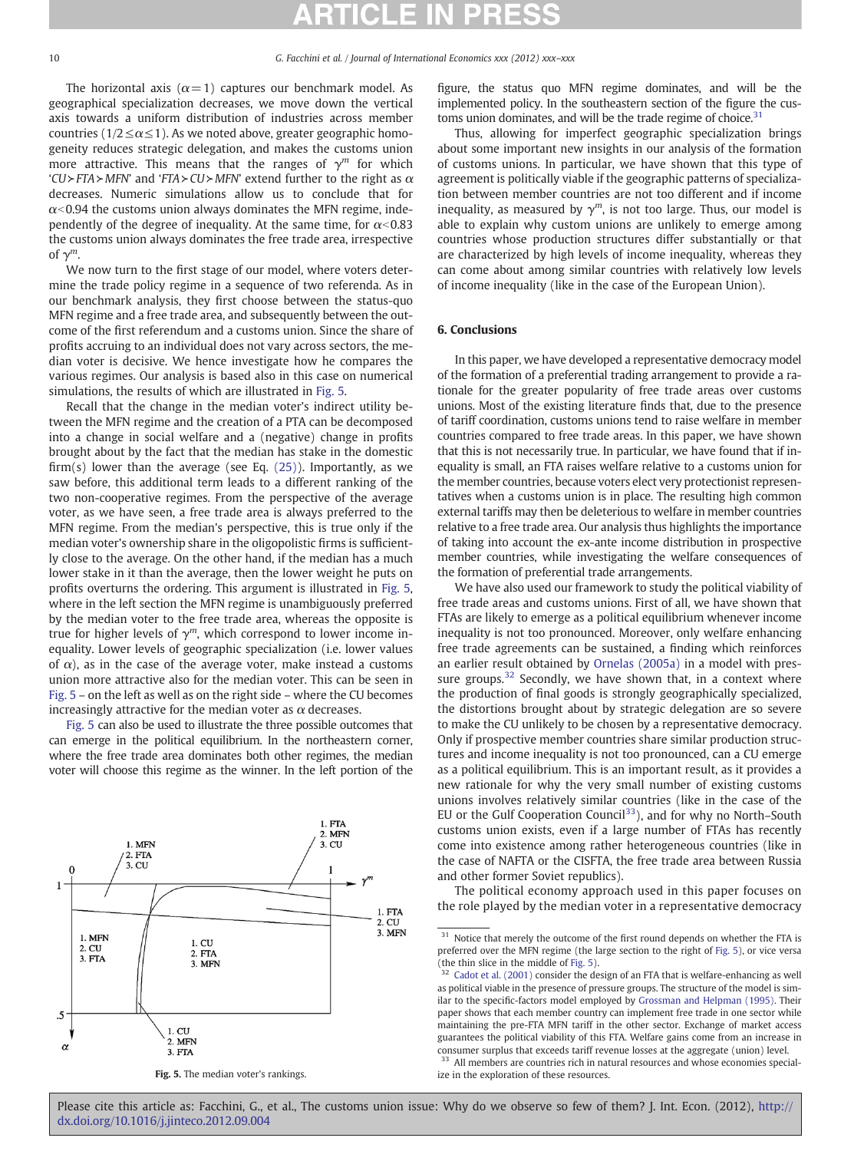<span id="page-9-0"></span>The horizontal axis ( $\alpha$ =1) captures our benchmark model. As geographical specialization decreases, we move down the vertical axis towards a uniform distribution of industries across member countries ( $1/2 \le \alpha \le 1$ ). As we noted above, greater geographic homogeneity reduces strategic delegation, and makes the customs union more attractive. This means that the ranges of  $\gamma^m$  for which 'CU≻FTA≻MFN' and 'FTA≻CU≻MFN' extend further to the right as α decreases. Numeric simulations allow us to conclude that for  $\alpha$ <0.94 the customs union always dominates the MFN regime, independently of the degree of inequality. At the same time, for  $\alpha$ <0.83 the customs union always dominates the free trade area, irrespective of  $\gamma^m$ .

We now turn to the first stage of our model, where voters determine the trade policy regime in a sequence of two referenda. As in our benchmark analysis, they first choose between the status-quo MFN regime and a free trade area, and subsequently between the outcome of the first referendum and a customs union. Since the share of profits accruing to an individual does not vary across sectors, the median voter is decisive. We hence investigate how he compares the various regimes. Our analysis is based also in this case on numerical simulations, the results of which are illustrated in Fig. 5.

Recall that the change in the median voter's indirect utility between the MFN regime and the creation of a PTA can be decomposed into a change in social welfare and a (negative) change in profits brought about by the fact that the median has stake in the domestic firm(s) lower than the average (see Eq.  $(25)$ ). Importantly, as we saw before, this additional term leads to a different ranking of the two non-cooperative regimes. From the perspective of the average voter, as we have seen, a free trade area is always preferred to the MFN regime. From the median's perspective, this is true only if the median voter's ownership share in the oligopolistic firms is sufficiently close to the average. On the other hand, if the median has a much lower stake in it than the average, then the lower weight he puts on profits overturns the ordering. This argument is illustrated in Fig. 5, where in the left section the MFN regime is unambiguously preferred by the median voter to the free trade area, whereas the opposite is true for higher levels of  $\gamma^m$ , which correspond to lower income inequality. Lower levels of geographic specialization (i.e. lower values of  $\alpha$ ), as in the case of the average voter, make instead a customs union more attractive also for the median voter. This can be seen in Fig. 5 – on the left as well as on the right side – where the CU becomes increasingly attractive for the median voter as  $\alpha$  decreases.

Fig. 5 can also be used to illustrate the three possible outcomes that can emerge in the political equilibrium. In the northeastern corner, where the free trade area dominates both other regimes, the median voter will choose this regime as the winner. In the left portion of the



Fig. 5. The median voter's rankings.

figure, the status quo MFN regime dominates, and will be the implemented policy. In the southeastern section of the figure the customs union dominates, and will be the trade regime of choice. $31$ 

Thus, allowing for imperfect geographic specialization brings about some important new insights in our analysis of the formation of customs unions. In particular, we have shown that this type of agreement is politically viable if the geographic patterns of specialization between member countries are not too different and if income inequality, as measured by  $\gamma^m$ , is not too large. Thus, our model is able to explain why custom unions are unlikely to emerge among countries whose production structures differ substantially or that are characterized by high levels of income inequality, whereas they can come about among similar countries with relatively low levels of income inequality (like in the case of the European Union).

### 6. Conclusions

In this paper, we have developed a representative democracy model of the formation of a preferential trading arrangement to provide a rationale for the greater popularity of free trade areas over customs unions. Most of the existing literature finds that, due to the presence of tariff coordination, customs unions tend to raise welfare in member countries compared to free trade areas. In this paper, we have shown that this is not necessarily true. In particular, we have found that if inequality is small, an FTA raises welfare relative to a customs union for the member countries, because voters elect very protectionist representatives when a customs union is in place. The resulting high common external tariffs may then be deleterious to welfare in member countries relative to a free trade area. Our analysis thus highlights the importance of taking into account the ex-ante income distribution in prospective member countries, while investigating the welfare consequences of the formation of preferential trade arrangements.

We have also used our framework to study the political viability of free trade areas and customs unions. First of all, we have shown that FTAs are likely to emerge as a political equilibrium whenever income inequality is not too pronounced. Moreover, only welfare enhancing free trade agreements can be sustained, a finding which reinforces an earlier result obtained by [Ornelas \(2005a\)](#page-11-0) in a model with pressure groups. $32$  Secondly, we have shown that, in a context where the production of final goods is strongly geographically specialized, the distortions brought about by strategic delegation are so severe to make the CU unlikely to be chosen by a representative democracy. Only if prospective member countries share similar production structures and income inequality is not too pronounced, can a CU emerge as a political equilibrium. This is an important result, as it provides a new rationale for why the very small number of existing customs unions involves relatively similar countries (like in the case of the EU or the Gulf Cooperation Council<sup>33</sup>), and for why no North–South customs union exists, even if a large number of FTAs has recently come into existence among rather heterogeneous countries (like in the case of NAFTA or the CISFTA, the free trade area between Russia and other former Soviet republics).

The political economy approach used in this paper focuses on the role played by the median voter in a representative democracy

 $31$  Notice that merely the outcome of the first round depends on whether the FTA is preferred over the MFN regime (the large section to the right of Fig. 5), or vice versa (the thin slice in the middle of Fig. 5).

<sup>&</sup>lt;sup>32</sup> [Cadot et al. \(2001\)](#page-11-0) consider the design of an FTA that is welfare-enhancing as well as political viable in the presence of pressure groups. The structure of the model is similar to the specific-factors model employed by [Grossman and Helpman \(1995\).](#page-11-0) Their paper shows that each member country can implement free trade in one sector while maintaining the pre-FTA MFN tariff in the other sector. Exchange of market access guarantees the political viability of this FTA. Welfare gains come from an increase in consumer surplus that exceeds tariff revenue losses at the aggregate (union) level.

<sup>&</sup>lt;sup>33</sup> All members are countries rich in natural resources and whose economies specialize in the exploration of these resources.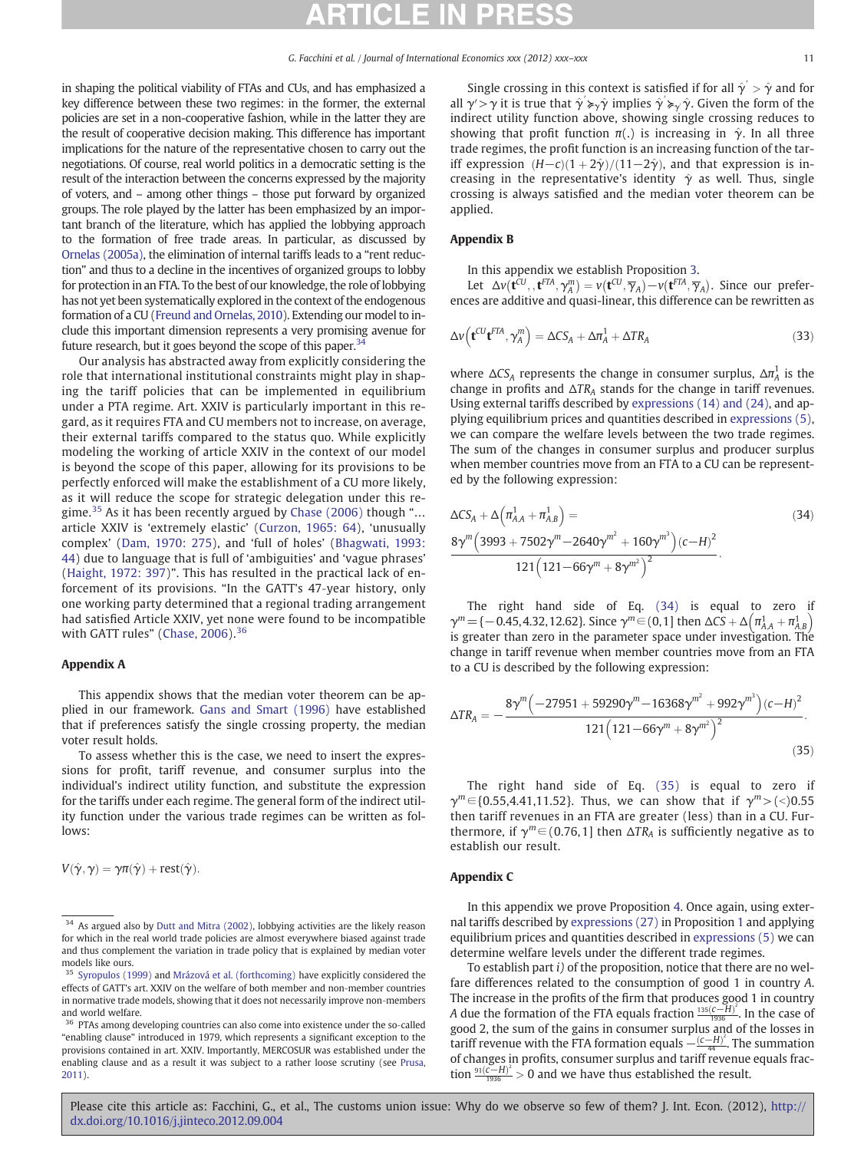<span id="page-10-0"></span>in shaping the political viability of FTAs and CUs, and has emphasized a key difference between these two regimes: in the former, the external policies are set in a non-cooperative fashion, while in the latter they are the result of cooperative decision making. This difference has important implications for the nature of the representative chosen to carry out the negotiations. Of course, real world politics in a democratic setting is the result of the interaction between the concerns expressed by the majority of voters, and – among other things – those put forward by organized groups. The role played by the latter has been emphasized by an important branch of the literature, which has applied the lobbying approach to the formation of free trade areas. In particular, as discussed by [Ornelas \(2005a\),](#page-11-0) the elimination of internal tariffs leads to a "rent reduction" and thus to a decline in the incentives of organized groups to lobby for protection in an FTA. To the best of our knowledge, the role of lobbying has not yet been systematically explored in the context of the endogenous formation of a CU [\(Freund and Ornelas, 2010\)](#page-11-0). Extending our model to include this important dimension represents a very promising avenue for future research, but it goes beyond the scope of this paper.<sup>3</sup>

Our analysis has abstracted away from explicitly considering the role that international institutional constraints might play in shaping the tariff policies that can be implemented in equilibrium under a PTA regime. Art. XXIV is particularly important in this regard, as it requires FTA and CU members not to increase, on average, their external tariffs compared to the status quo. While explicitly modeling the working of article XXIV in the context of our model is beyond the scope of this paper, allowing for its provisions to be perfectly enforced will make the establishment of a CU more likely, as it will reduce the scope for strategic delegation under this re-gime.<sup>35</sup> As it has been recently argued by [Chase \(2006\)](#page-11-0) though "... article XXIV is 'extremely elastic' ([Curzon, 1965: 64\)](#page-11-0), 'unusually complex' ([Dam, 1970: 275](#page-11-0)), and 'full of holes' [\(Bhagwati, 1993:](#page-11-0) [44\)](#page-11-0) due to language that is full of 'ambiguities' and 'vague phrases' [\(Haight, 1972: 397](#page-11-0))". This has resulted in the practical lack of enforcement of its provisions. "In the GATT's 47‐year history, only one working party determined that a regional trading arrangement had satisfied Article XXIV, yet none were found to be incompatible with GATT rules" [\(Chase, 2006](#page-11-0)).<sup>36</sup>

### Appendix A

This appendix shows that the median voter theorem can be applied in our framework. [Gans and Smart \(1996\)](#page-11-0) have established that if preferences satisfy the single crossing property, the median voter result holds.

To assess whether this is the case, we need to insert the expressions for profit, tariff revenue, and consumer surplus into the individual's indirect utility function, and substitute the expression for the tariffs under each regime. The general form of the indirect utility function under the various trade regimes can be written as follows:

 $V(\hat{\gamma}, \gamma) = \gamma \pi(\hat{\gamma}) + \text{rest}(\hat{\gamma}).$ 

#### Appendix B

applied.

In this appendix we establish Proposition [3.](#page-5-0)

Let  $\Delta v(\mathbf{t}^{\text{CU}}, \mathbf{t}^{\text{FA}}, \gamma_A^m) = v(\mathbf{t}^{\text{CU}}, \overline{\gamma}_A) - v(\mathbf{t}^{\text{FA}}, \overline{\gamma}_A)$ . Since our prefer-<br>see are additive and quasi-linear, this difference can be rewritten as ences are additive and quasi-linear, this difference can be rewritten as

crossing is always satisfied and the median voter theorem can be

$$
\Delta v \left( \mathbf{t}^{CU} \mathbf{t}^{FTA}, \gamma_A^m \right) = \Delta C S_A + \Delta \pi_A^1 + \Delta T R_A \tag{33}
$$

where  $\Delta CS_A$  represents the change in consumer surplus,  $\Delta \pi_A^1$  is the change in profits and  $\Delta TR_A$  stands for the change in tariff revenues. Using external tariffs described by [expressions \(14\) and \(24\)](#page-4-0), and applying equilibrium prices and quantities described in [expressions \(5\),](#page-3-0) we can compare the welfare levels between the two trade regimes. The sum of the changes in consumer surplus and producer surplus when member countries move from an FTA to a CU can be represented by the following expression:

$$
\Delta CS_{A} + \Delta \left(\pi_{A,A}^{1} + \pi_{A,B}^{1}\right) =
$$
\n
$$
\frac{8\gamma^{m} \left(3993 + 7502\gamma^{m} - 2640\gamma^{m^{2}} + 160\gamma^{m^{3}}\right)(c - H)^{2}}{121\left(121 - 66\gamma^{m} + 8\gamma^{m^{2}}\right)^{2}}.
$$
\n(34)

The right hand side of Eq. (34) is equal to zero if  $\gamma^m = \{-0.45, 4.32, 12.62\}$ . Since  $\gamma^m = (0,1]$  then  $\Delta CS + \Delta \left(\pi_{AA}^1 + \pi_{AB}^1\right)$ <br>is greater than zero in the parameter space under investigation. The is greater than zero in the parameter space under investigation. The change in tariff revenue when member countries move from an FTA to a CU is described by the following expression:

$$
\Delta TR_{A} = -\frac{8\gamma^{m} \left(-27951 + 59290\gamma^{m} - 16368\gamma^{m^{2}} + 992\gamma^{m^{3}}\right)(c - H)^{2}}{121\left(121 - 66\gamma^{m} + 8\gamma^{m^{2}}\right)^{2}}.
$$
\n(35)

The right hand side of Eq. (35) is equal to zero if  $\gamma^m \in \{0.55, 4.41, 11.52\}$ . Thus, we can show that if  $\gamma^m > (\leq)0.55$ then tariff revenues in an FTA are greater (less) than in a CU. Furthermore, if  $\gamma^m$   $\in$  (0.76, 1] then  $\Delta TR_A$  is sufficiently negative as to establish our result.

#### Appendix C

In this appendix we prove Proposition [4](#page-5-0). Once again, using external tariffs described by [expressions \(27\)](#page-7-0) in Proposition [1](#page-3-0) and applying equilibrium prices and quantities described in [expressions \(5\)](#page-3-0) we can determine welfare levels under the different trade regimes.

To establish part i) of the proposition, notice that there are no welfare differences related to the consumption of good 1 in country A. The increase in the profits of the firm that produces good 1 in country A due the formation of the FTA equals fraction  $\frac{135(C-H)^2}{1936}$ . In the case of good 2, the sum of the gains in consumer surplus and of the losses in tariff revenue with the FTA formation equals  $-\frac{(c-H)^2}{44}$ . The summation of changes in profits, consumer surplus and tariff revenue equals fraction  $\frac{91(C-H)^2}{1936} > 0$  and we have thus established the result.

<sup>&</sup>lt;sup>34</sup> As argued also by [Dutt and Mitra \(2002\)](#page-11-0), lobbying activities are the likely reason for which in the real world trade policies are almost everywhere biased against trade and thus complement the variation in trade policy that is explained by median voter models like ours.

<sup>35</sup> [Syropulos \(1999\)](#page-11-0) and [Mrázová et al. \(forthcoming\)](#page-11-0) have explicitly considered the effects of GATT's art. XXIV on the welfare of both member and non‐member countries in normative trade models, showing that it does not necessarily improve non‐members and world welfare.

<sup>&</sup>lt;sup>36</sup> PTAs among developing countries can also come into existence under the so-called "enabling clause" introduced in 1979, which represents a significant exception to the provisions contained in art. XXIV. Importantly, MERCOSUR was established under the enabling clause and as a result it was subject to a rather loose scrutiny (see [Prusa,](#page-11-0) [2011](#page-11-0)).